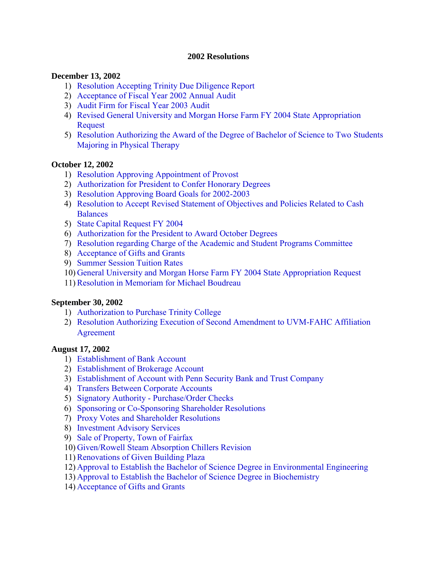#### **2002 Resolutions**

#### **December 13, 2002**

- 1) [Resolution Accepting Trinity Due Diligence Report](#page-3-0)
- 2) [Acceptance of Fiscal Year 2002 Annual Audit](#page-3-0)
- 3) [Audit Firm for Fiscal Year 2003 Audit](#page-3-0)
- 4) [Revised General University and Morgan Horse Farm FY 2004 State Appropriation](#page-3-0)  Request
- 5) [Resolution Authorizing the Award of the Degree of Bachelor of Science to Two Students](#page-4-0)  Majoring in Physical Therapy

### **October 12, 2002**

- 1) [Resolution Approving Appointment of Provost](#page-5-0)
- 2) [Authorization for President to Confer Honorary Degrees](#page-5-0)
- 3) [Resolution Approving Board Goals for 2002-2003](#page-5-0)
- 4) [Resolution to Accept Revised Statement of Objectives and Policies Related to Cash](#page-5-0)  Balances
- 5) [State Capital Request FY 2004](#page-5-0)
- 6) [Authorization for the President to Award October Degrees](#page-6-0)
- 7) [Resolution regarding Charge of the Academic and Student Programs Committee](#page-6-0)
- 8) [Acceptance of Gifts and Grants](#page-6-0)
- 9) [Summer Session Tuition Rates](#page-6-0)
- 10) [General University and Morgan Horse Farm FY 2004 State Appropriation Request](#page-6-0)
- 11)[Resolution in Memoriam for Michael Boudreau](#page-6-0)

#### **September 30, 2002**

- 1) [Authorization to Purchase Trinity College](#page-13-0)
- 2) [Resolution Authorizing Execution of Second Amendment to UVM-FAHC Affiliation](#page-13-0) Agreement

#### **August 17, 2002**

- 1) [Establishment of Bank Account](#page-14-0)
- 2) [Establishment of Brokerage Account](#page-14-0)
- 3) [Establishment of Account with Penn Security Bank and Trust Company](#page-14-0)
- 4) [Transfers Between Corporate Accounts](#page-15-0)
- 5) [Signatory Authority Purchase/Order Checks](#page-15-0)
- 6) [Sponsoring or Co-Sponsoring Shareholder Resolutions](#page-15-0)
- 7) [Proxy Votes and Shareholder Resolutions](#page-15-0)
- 8) [Investment Advisory Services](#page-16-0)
- 9) [Sale of Property, Town of Fairfax](#page-16-0)
- 10) [Given/Rowell Steam Absorption Chillers Revision](#page-16-0)
- 11)[Renovations of Given Building Plaza](#page-17-0)
- 12) [Approval to Establish the Bachelor of Science Degree in Environmental Engineering](#page-17-0)
- 13) [Approval to Establish the Bachelor of Science Degree in Biochemistry](#page-18-0)
- 14) [Acceptance of Gifts and Grants](#page-18-0)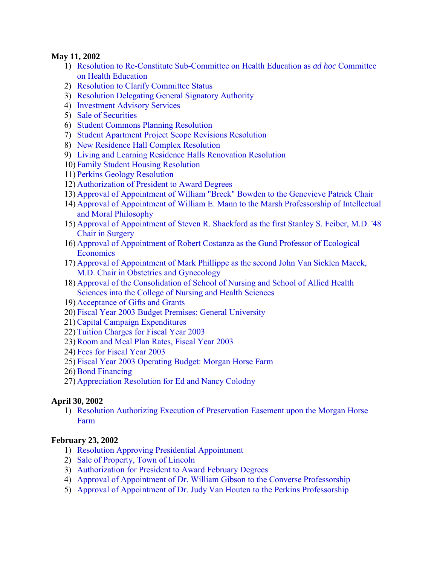#### **May 11, 2002**

- 1) [Resolution to Re-Constitute Sub-Committee on Health Education as](#page-19-0) *ad hoc* Committee on Health Education
- 2) [Resolution to Clarify Committee Status](#page-19-0)
- 3) [Resolution Delegating General Signatory Authority](#page-19-0)
- 4) [Investment Advisory Services](#page-19-0)
- 5) [Sale of Securities](#page-20-0)
- 6) [Student Commons Planning Resolution](#page-20-0)
- 7) [Student Apartment Project Scope Revisions Resolution](#page-21-0)
- 8) [New Residence Hall Complex Resolution](#page-22-0)
- 9) [Living and Learning Residence Halls Renovation Resolution](#page-22-0)
- 10) [Family Student Housing Resolution](#page-23-0)
- 11) [Perkins Geology Resolution](#page-23-0)
- 12) [Authorization of President to Award Degrees](#page-24-0)
- 13) [Approval of Appointment of William "Breck" Bowden to the Genevieve Patrick Chair](#page-24-0)
- 14) [Approval of Appointment of William E. Mann to the Marsh Professorship of Intellectual](#page-24-0) and Moral Philosophy
- 15) [Approval of Appointment of Steven R. Shackford as the first Stanley S. Feiber, M.D. '48](#page-24-0) Chair in Surgery
- 16) [Approval of Appointment of Robert Costanza as the Gund Professor of Ecological](#page-24-0) **Economics**
- 17) [Approval of Appointment of Mark Phillippe as the second John Van Sicklen Maeck,](#page-24-0) M.D. Chair in Obstetrics and Gynecology
- 18) [Approval of the Consolidation of School of Nursing and School of Allied Health](#page-25-0) Sciences into the College of Nursing and Health Sciences
- 19) [Acceptance of Gifts and Grants](#page-25-0)
- 20) [Fiscal Year 2003 Budget Premises: General University](#page-25-0)
- 21)[Capital Campaign Expenditures](#page-25-0)
- 22) [Tuition Charges for Fiscal Year 2003](#page-25-0)
- 23)[Room and Meal Plan Rates, Fiscal Year 2003](#page-26-0)
- 24) [Fees for Fiscal Year 2003](#page-26-0)
- 25) [Fiscal Year 2003 Operating Budget: Morgan Horse Farm](#page-26-0)
- 26) [Bond Financing](#page-26-0)
- 27) [Appreciation Resolution for Ed and Nancy Colodny](#page-31-0)

### **April 30, 2002**

1) [Resolution Authorizing Execution of Preservation Easement upon the Morgan Horse](#page-34-0)  Farm

### **February 23, 2002**

- 1) [Resolution Approving Presidential Appointment](#page-35-0)
- 2) [Sale of Property, Town of Lincoln](#page-35-0)
- 3) [Authorization for President to Award February Degrees](#page-35-0)
- 4) [Approval of Appointment of Dr. William Gibson to the Converse Professorship](#page-36-0)
- 5) [Approval of Appointment of Dr. Judy Van Houten to the Perkins Professorship](#page-36-0)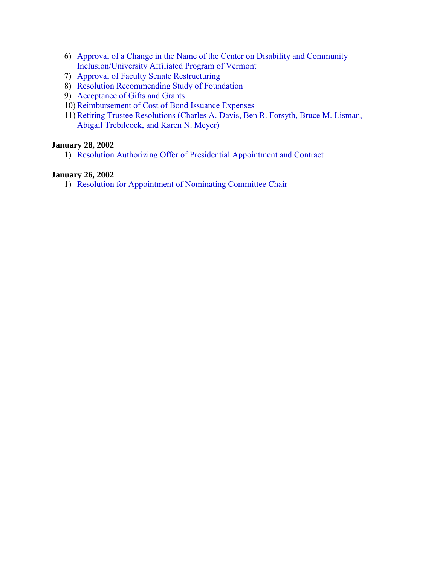- 6) [Approval of a Change in the Name of the Center on Disability and Community](#page-36-0)  Inclusion/University Affiliated Program of Vermont
- 7) [Approval of Faculty Senate Restructuring](#page-36-0)
- 8) [Resolution Recommending Study of Foundation](#page-36-0)
- 9) [Acceptance of Gifts and Grants](#page-37-0)
- 10)[Reimbursement of Cost of Bond Issuance Expenses](#page-37-0)
- 11)[Retiring Trustee Resolutions \(Charles A. Davis, Ben R. Forsyth, Bruce M. Lisman,](#page-38-0)  Abigail Trebilcock, and Karen N. Meyer)

#### **January 28, 2002**

1) [Resolution Authorizing Offer of Presidential Appointment and Contract](#page-40-0)

#### **January 26, 2002**

1) [Resolution for Appointment of Nominating Committee Chair](#page-41-0)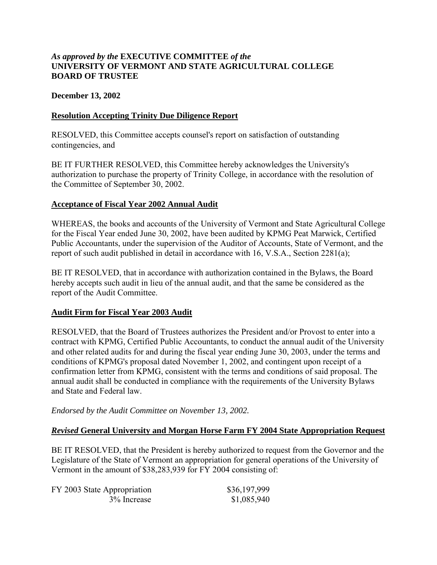### <span id="page-3-0"></span>*As approved by the* **EXECUTIVE COMMITTEE** *of the*  **UNIVERSITY OF VERMONT AND STATE AGRICULTURAL COLLEGE BOARD OF TRUSTEE**

#### **December 13, 2002**

#### **Resolution Accepting Trinity Due Diligence Report**

RESOLVED, this Committee accepts counsel's report on satisfaction of outstanding contingencies, and

BE IT FURTHER RESOLVED, this Committee hereby acknowledges the University's authorization to purchase the property of Trinity College, in accordance with the resolution of the Committee of September 30, 2002.

#### **Acceptance of Fiscal Year 2002 Annual Audit**

WHEREAS, the books and accounts of the University of Vermont and State Agricultural College for the Fiscal Year ended June 30, 2002, have been audited by KPMG Peat Marwick, Certified Public Accountants, under the supervision of the Auditor of Accounts, State of Vermont, and the report of such audit published in detail in accordance with 16, V.S.A., Section 2281(a);

BE IT RESOLVED, that in accordance with authorization contained in the Bylaws, the Board hereby accepts such audit in lieu of the annual audit, and that the same be considered as the report of the Audit Committee.

#### **Audit Firm for Fiscal Year 2003 Audit**

RESOLVED, that the Board of Trustees authorizes the President and/or Provost to enter into a contract with KPMG, Certified Public Accountants, to conduct the annual audit of the University and other related audits for and during the fiscal year ending June 30, 2003, under the terms and conditions of KPMG's proposal dated November 1, 2002, and contingent upon receipt of a confirmation letter from KPMG, consistent with the terms and conditions of said proposal. The annual audit shall be conducted in compliance with the requirements of the University Bylaws and State and Federal law.

*Endorsed by the Audit Committee on November 13, 2002.* 

#### *Revised* **General University and Morgan Horse Farm FY 2004 State Appropriation Request**

BE IT RESOLVED, that the President is hereby authorized to request from the Governor and the Legislature of the State of Vermont an appropriation for general operations of the University of Vermont in the amount of \$38,283,939 for FY 2004 consisting of:

| FY 2003 State Appropriation | \$36,197,999 |
|-----------------------------|--------------|
| 3% Increase                 | \$1,085,940  |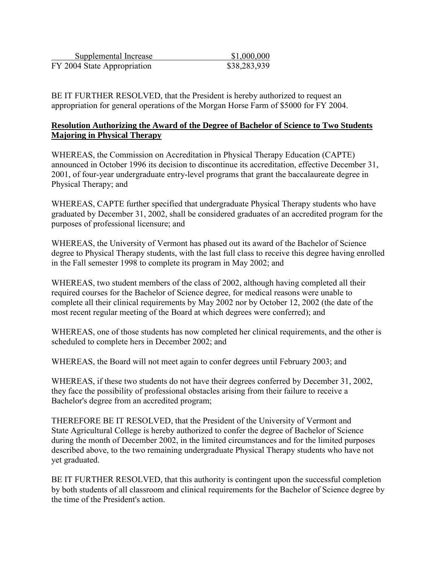<span id="page-4-0"></span>

| Supplemental Increase       | \$1,000,000  |
|-----------------------------|--------------|
| FY 2004 State Appropriation | \$38,283,939 |

BE IT FURTHER RESOLVED, that the President is hereby authorized to request an appropriation for general operations of the Morgan Horse Farm of \$5000 for FY 2004.

### **Resolution Authorizing the Award of the Degree of Bachelor of Science to Two Students Majoring in Physical Therapy**

WHEREAS, the Commission on Accreditation in Physical Therapy Education (CAPTE) announced in October 1996 its decision to discontinue its accreditation, effective December 31, 2001, of four-year undergraduate entry-level programs that grant the baccalaureate degree in Physical Therapy; and

WHEREAS, CAPTE further specified that undergraduate Physical Therapy students who have graduated by December 31, 2002, shall be considered graduates of an accredited program for the purposes of professional licensure; and

WHEREAS, the University of Vermont has phased out its award of the Bachelor of Science degree to Physical Therapy students, with the last full class to receive this degree having enrolled in the Fall semester 1998 to complete its program in May 2002; and

WHEREAS, two student members of the class of 2002, although having completed all their required courses for the Bachelor of Science degree, for medical reasons were unable to complete all their clinical requirements by May 2002 nor by October 12, 2002 (the date of the most recent regular meeting of the Board at which degrees were conferred); and

WHEREAS, one of those students has now completed her clinical requirements, and the other is scheduled to complete hers in December 2002; and

WHEREAS, the Board will not meet again to confer degrees until February 2003; and

WHEREAS, if these two students do not have their degrees conferred by December 31, 2002, they face the possibility of professional obstacles arising from their failure to receive a Bachelor's degree from an accredited program;

THEREFORE BE IT RESOLVED, that the President of the University of Vermont and State Agricultural College is hereby authorized to confer the degree of Bachelor of Science during the month of December 2002, in the limited circumstances and for the limited purposes described above, to the two remaining undergraduate Physical Therapy students who have not yet graduated.

BE IT FURTHER RESOLVED, that this authority is contingent upon the successful completion by both students of all classroom and clinical requirements for the Bachelor of Science degree by the time of the President's action.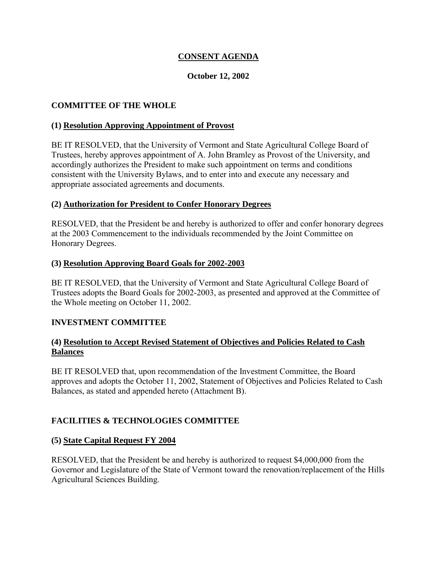## **CONSENT AGENDA**

### **October 12, 2002**

### <span id="page-5-0"></span>**COMMITTEE OF THE WHOLE**

#### **(1) Resolution Approving Appointment of Provost**

BE IT RESOLVED, that the University of Vermont and State Agricultural College Board of Trustees, hereby approves appointment of A. John Bramley as Provost of the University, and accordingly authorizes the President to make such appointment on terms and conditions consistent with the University Bylaws, and to enter into and execute any necessary and appropriate associated agreements and documents.

#### **(2) Authorization for President to Confer Honorary Degrees**

RESOLVED, that the President be and hereby is authorized to offer and confer honorary degrees at the 2003 Commencement to the individuals recommended by the Joint Committee on Honorary Degrees.

#### **(3) Resolution Approving Board Goals for 2002-2003**

BE IT RESOLVED, that the University of Vermont and State Agricultural College Board of Trustees adopts the Board Goals for 2002-2003, as presented and approved at the Committee of the Whole meeting on October 11, 2002.

#### **INVESTMENT COMMITTEE**

### **(4) Resolution to Accept Revised Statement of Objectives and Policies Related to Cash Balances**

BE IT RESOLVED that, upon recommendation of the Investment Committee, the Board approves and adopts the October 11, 2002, Statement of Objectives and Policies Related to Cash Balances, as stated and appended hereto (Attachment B).

#### **FACILITIES & TECHNOLOGIES COMMITTEE**

#### **(5) State Capital Request FY 2004**

RESOLVED, that the President be and hereby is authorized to request \$4,000,000 from the Governor and Legislature of the State of Vermont toward the renovation/replacement of the Hills Agricultural Sciences Building.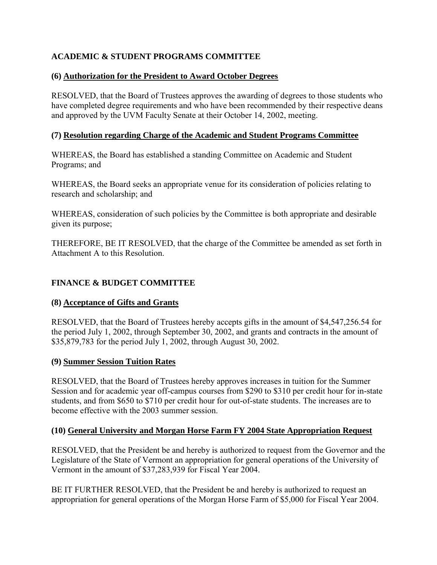## <span id="page-6-0"></span>**ACADEMIC & STUDENT PROGRAMS COMMITTEE**

## **(6) Authorization for the President to Award October Degrees**

RESOLVED, that the Board of Trustees approves the awarding of degrees to those students who have completed degree requirements and who have been recommended by their respective deans and approved by the UVM Faculty Senate at their October 14, 2002, meeting.

## **(7) Resolution regarding Charge of the Academic and Student Programs Committee**

WHEREAS, the Board has established a standing Committee on Academic and Student Programs; and

WHEREAS, the Board seeks an appropriate venue for its consideration of policies relating to research and scholarship; and

WHEREAS, consideration of such policies by the Committee is both appropriate and desirable given its purpose;

THEREFORE, BE IT RESOLVED, that the charge of the Committee be amended as set forth in Attachment A to this Resolution.

## **FINANCE & BUDGET COMMITTEE**

### **(8) Acceptance of Gifts and Grants**

RESOLVED, that the Board of Trustees hereby accepts gifts in the amount of \$4,547,256.54 for the period July 1, 2002, through September 30, 2002, and grants and contracts in the amount of \$35,879,783 for the period July 1, 2002, through August 30, 2002.

## **(9) Summer Session Tuition Rates**

RESOLVED, that the Board of Trustees hereby approves increases in tuition for the Summer Session and for academic year off-campus courses from \$290 to \$310 per credit hour for in-state students, and from \$650 to \$710 per credit hour for out-of-state students. The increases are to become effective with the 2003 summer session.

## **(10) General University and Morgan Horse Farm FY 2004 State Appropriation Request**

RESOLVED, that the President be and hereby is authorized to request from the Governor and the Legislature of the State of Vermont an appropriation for general operations of the University of Vermont in the amount of \$37,283,939 for Fiscal Year 2004.

BE IT FURTHER RESOLVED, that the President be and hereby is authorized to request an appropriation for general operations of the Morgan Horse Farm of \$5,000 for Fiscal Year 2004.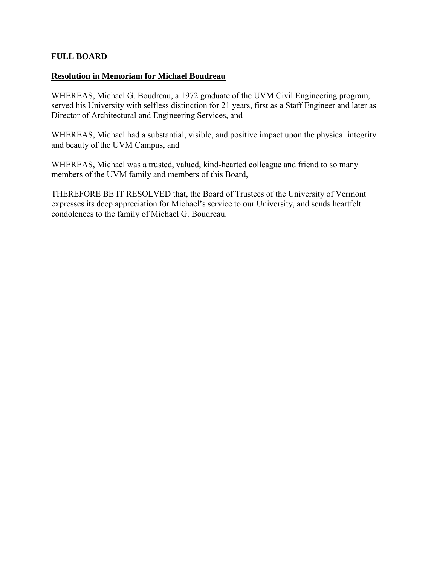### **FULL BOARD**

#### **Resolution in Memoriam for Michael Boudreau**

WHEREAS, Michael G. Boudreau, a 1972 graduate of the UVM Civil Engineering program, served his University with selfless distinction for 21 years, first as a Staff Engineer and later as Director of Architectural and Engineering Services, and

WHEREAS, Michael had a substantial, visible, and positive impact upon the physical integrity and beauty of the UVM Campus, and

WHEREAS, Michael was a trusted, valued, kind-hearted colleague and friend to so many members of the UVM family and members of this Board,

THEREFORE BE IT RESOLVED that, the Board of Trustees of the University of Vermont expresses its deep appreciation for Michael's service to our University, and sends heartfelt condolences to the family of Michael G. Boudreau.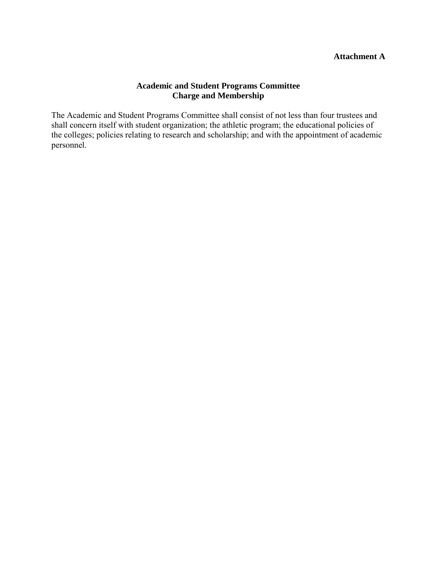### **Attachment A**

### **Academic and Student Programs Committee Charge and Membership**

The Academic and Student Programs Committee shall consist of not less than four trustees and shall concern itself with student organization; the athletic program; the educational policies of the colleges; policies relating to research and scholarship; and with the appointment of academic personnel.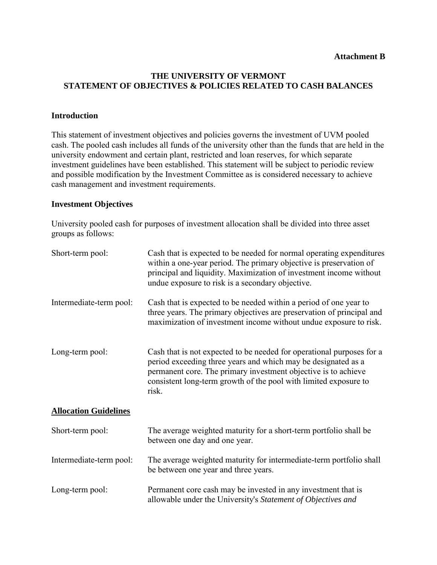### **THE UNIVERSITY OF VERMONT STATEMENT OF OBJECTIVES & POLICIES RELATED TO CASH BALANCES**

#### **Introduction**

This statement of investment objectives and policies governs the investment of UVM pooled cash. The pooled cash includes all funds of the university other than the funds that are held in the university endowment and certain plant, restricted and loan reserves, for which separate investment guidelines have been established. This statement will be subject to periodic review and possible modification by the Investment Committee as is considered necessary to achieve cash management and investment requirements.

#### **Investment Objectives**

University pooled cash for purposes of investment allocation shall be divided into three asset groups as follows:

| Short-term pool:             | Cash that is expected to be needed for normal operating expenditures<br>within a one-year period. The primary objective is preservation of<br>principal and liquidity. Maximization of investment income without<br>undue exposure to risk is a secondary objective.                  |
|------------------------------|---------------------------------------------------------------------------------------------------------------------------------------------------------------------------------------------------------------------------------------------------------------------------------------|
| Intermediate-term pool:      | Cash that is expected to be needed within a period of one year to<br>three years. The primary objectives are preservation of principal and<br>maximization of investment income without undue exposure to risk.                                                                       |
| Long-term pool:              | Cash that is not expected to be needed for operational purposes for a<br>period exceeding three years and which may be designated as a<br>permanent core. The primary investment objective is to achieve<br>consistent long-term growth of the pool with limited exposure to<br>risk. |
| <b>Allocation Guidelines</b> |                                                                                                                                                                                                                                                                                       |
| Short-term pool:             | The average weighted maturity for a short-term portfolio shall be<br>between one day and one year.                                                                                                                                                                                    |
| Intermediate-term pool:      | The average weighted maturity for intermediate-term portfolio shall<br>be between one year and three years.                                                                                                                                                                           |
| Long-term pool:              | Permanent core cash may be invested in any investment that is<br>allowable under the University's Statement of Objectives and                                                                                                                                                         |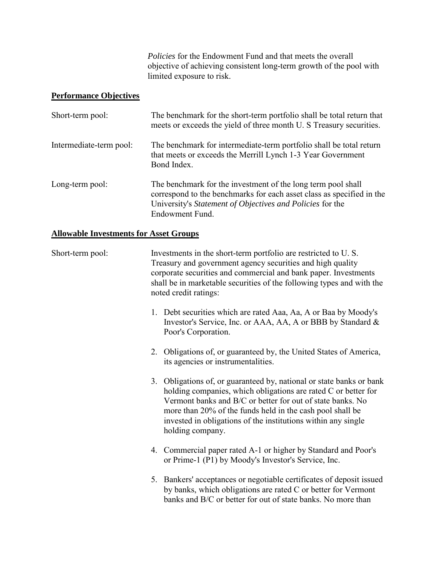*Policies* for the Endowment Fund and that meets the overall objective of achieving consistent long-term growth of the pool with limited exposure to risk.

# **Performance Objectives**

| Short-term pool:        | The benchmark for the short-term portfolio shall be total return that<br>meets or exceeds the yield of three month U. S Treasury securities.                                                                          |
|-------------------------|-----------------------------------------------------------------------------------------------------------------------------------------------------------------------------------------------------------------------|
| Intermediate-term pool: | The benchmark for intermediate-term portfolio shall be total return<br>that meets or exceeds the Merrill Lynch 1-3 Year Government<br>Bond Index.                                                                     |
| Long-term pool:         | The benchmark for the investment of the long term pool shall<br>correspond to the benchmarks for each asset class as specified in the<br>University's Statement of Objectives and Policies for the<br>Endowment Fund. |

## **Allowable Investments for Asset Groups**

| Short-term pool: | Investments in the short-term portfolio are restricted to U.S.<br>Treasury and government agency securities and high quality<br>corporate securities and commercial and bank paper. Investments<br>shall be in marketable securities of the following types and with the<br>noted credit ratings:                                                      |  |  |
|------------------|--------------------------------------------------------------------------------------------------------------------------------------------------------------------------------------------------------------------------------------------------------------------------------------------------------------------------------------------------------|--|--|
|                  | 1. Debt securities which are rated Aaa, Aa, A or Baa by Moody's<br>Investor's Service, Inc. or AAA, AA, A or BBB by Standard &<br>Poor's Corporation.                                                                                                                                                                                                  |  |  |
|                  | 2. Obligations of, or guaranteed by, the United States of America,<br>its agencies or instrumentalities.                                                                                                                                                                                                                                               |  |  |
|                  | 3. Obligations of, or guaranteed by, national or state banks or bank<br>holding companies, which obligations are rated C or better for<br>Vermont banks and B/C or better for out of state banks. No<br>more than 20% of the funds held in the cash pool shall be<br>invested in obligations of the institutions within any single<br>holding company. |  |  |
|                  | 4. Commercial paper rated A-1 or higher by Standard and Poor's<br>or Prime-1 (P1) by Moody's Investor's Service, Inc.                                                                                                                                                                                                                                  |  |  |
|                  | 5. Bankers' acceptances or negotiable certificates of deposit issued<br>by banks, which obligations are rated C or better for Vermont<br>banks and B/C or better for out of state banks. No more than                                                                                                                                                  |  |  |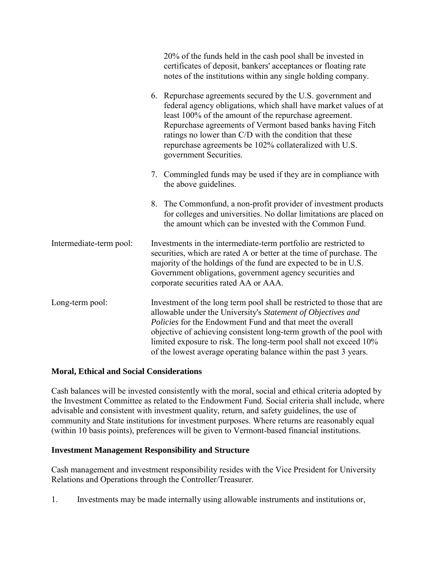|                         | 20% of the funds held in the cash pool shall be invested in<br>certificates of deposit, bankers' acceptances or floating rate<br>notes of the institutions within any single holding company.                                                                                                                                                                                                                              |  |
|-------------------------|----------------------------------------------------------------------------------------------------------------------------------------------------------------------------------------------------------------------------------------------------------------------------------------------------------------------------------------------------------------------------------------------------------------------------|--|
|                         | 6. Repurchase agreements secured by the U.S. government and<br>federal agency obligations, which shall have market values of at<br>least 100% of the amount of the repurchase agreement.<br>Repurchase agreements of Vermont based banks having Fitch<br>ratings no lower than C/D with the condition that these<br>repurchase agreements be 102% collateralized with U.S.<br>government Securities.                       |  |
|                         | 7. Commingled funds may be used if they are in compliance with<br>the above guidelines.                                                                                                                                                                                                                                                                                                                                    |  |
|                         | 8. The Commonfund, a non-profit provider of investment products<br>for colleges and universities. No dollar limitations are placed on<br>the amount which can be invested with the Common Fund.                                                                                                                                                                                                                            |  |
| Intermediate-term pool: | Investments in the intermediate-term portfolio are restricted to<br>securities, which are rated A or better at the time of purchase. The<br>majority of the holdings of the fund are expected to be in U.S.<br>Government obligations, government agency securities and<br>corporate securities rated AA or AAA.                                                                                                           |  |
| Long-term pool:         | Investment of the long term pool shall be restricted to those that are<br>allowable under the University's Statement of Objectives and<br><i>Policies</i> for the Endowment Fund and that meet the overall<br>objective of achieving consistent long-term growth of the pool with<br>limited exposure to risk. The long-term pool shall not exceed 10%<br>of the lowest average operating balance within the past 3 years. |  |

### **Moral, Ethical and Social Considerations**

Cash balances will be invested consistently with the moral, social and ethical criteria adopted by the Investment Committee as related to the Endowment Fund. Social criteria shall include, where advisable and consistent with investment quality, return, and safety guidelines, the use of community and State institutions for investment purposes. Where returns are reasonably equal (within 10 basis points), preferences will be given to Vermont-based financial institutions.

#### **Investment Management Responsibility and Structure**

Cash management and investment responsibility resides with the Vice President for University Relations and Operations through the Controller/Treasurer.

1. Investments may be made internally using allowable instruments and institutions or,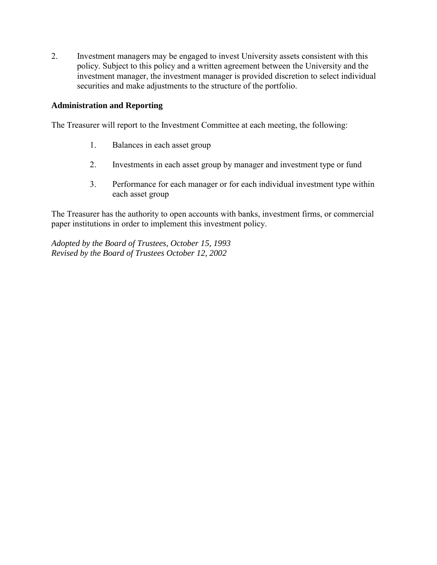2. Investment managers may be engaged to invest University assets consistent with this policy. Subject to this policy and a written agreement between the University and the investment manager, the investment manager is provided discretion to select individual securities and make adjustments to the structure of the portfolio.

### **Administration and Reporting**

The Treasurer will report to the Investment Committee at each meeting, the following:

- 1. Balances in each asset group
- 2. Investments in each asset group by manager and investment type or fund
- 3. Performance for each manager or for each individual investment type within each asset group

The Treasurer has the authority to open accounts with banks, investment firms, or commercial paper institutions in order to implement this investment policy.

*Adopted by the Board of Trustees, October 15, 1993 Revised by the Board of Trustees October 12, 2002*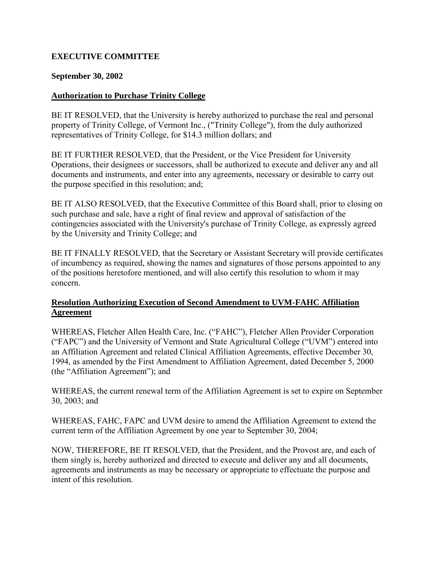## <span id="page-13-0"></span>**EXECUTIVE COMMITTEE**

### **September 30, 2002**

### **Authorization to Purchase Trinity College**

BE IT RESOLVED, that the University is hereby authorized to purchase the real and personal property of Trinity College, of Vermont Inc., ("Trinity College"), from the duly authorized representatives of Trinity College, for \$14.3 million dollars; and

BE IT FURTHER RESOLVED, that the President, or the Vice President for University Operations, their designees or successors, shall be authorized to execute and deliver any and all documents and instruments, and enter into any agreements, necessary or desirable to carry out the purpose specified in this resolution; and;

BE IT ALSO RESOLVED, that the Executive Committee of this Board shall, prior to closing on such purchase and sale, have a right of final review and approval of satisfaction of the contingencies associated with the University's purchase of Trinity College, as expressly agreed by the University and Trinity College; and

BE IT FINALLY RESOLVED, that the Secretary or Assistant Secretary will provide certificates of incumbency as required, showing the names and signatures of those persons appointed to any of the positions heretofore mentioned, and will also certify this resolution to whom it may concern.

## **Resolution Authorizing Execution of Second Amendment to UVM-FAHC Affiliation Agreement**

WHEREAS, Fletcher Allen Health Care, Inc. ("FAHC"), Fletcher Allen Provider Corporation ("FAPC") and the University of Vermont and State Agricultural College ("UVM") entered into an Affiliation Agreement and related Clinical Affiliation Agreements, effective December 30, 1994, as amended by the First Amendment to Affiliation Agreement, dated December 5, 2000 (the "Affiliation Agreement"); and

WHEREAS, the current renewal term of the Affiliation Agreement is set to expire on September 30, 2003; and

WHEREAS, FAHC, FAPC and UVM desire to amend the Affiliation Agreement to extend the current term of the Affiliation Agreement by one year to September 30, 2004;

NOW, THEREFORE, BE IT RESOLVED, that the President, and the Provost are, and each of them singly is, hereby authorized and directed to execute and deliver any and all documents, agreements and instruments as may be necessary or appropriate to effectuate the purpose and intent of this resolution.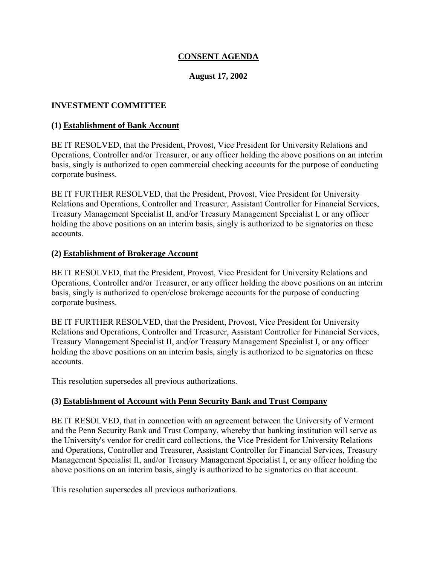## **CONSENT AGENDA**

### **August 17, 2002**

### <span id="page-14-0"></span>**INVESTMENT COMMITTEE**

#### **(1) Establishment of Bank Account**

BE IT RESOLVED, that the President, Provost, Vice President for University Relations and Operations, Controller and/or Treasurer, or any officer holding the above positions on an interim basis, singly is authorized to open commercial checking accounts for the purpose of conducting corporate business.

BE IT FURTHER RESOLVED, that the President, Provost, Vice President for University Relations and Operations, Controller and Treasurer, Assistant Controller for Financial Services, Treasury Management Specialist II, and/or Treasury Management Specialist I, or any officer holding the above positions on an interim basis, singly is authorized to be signatories on these accounts.

#### **(2) Establishment of Brokerage Account**

BE IT RESOLVED, that the President, Provost, Vice President for University Relations and Operations, Controller and/or Treasurer, or any officer holding the above positions on an interim basis, singly is authorized to open/close brokerage accounts for the purpose of conducting corporate business.

BE IT FURTHER RESOLVED, that the President, Provost, Vice President for University Relations and Operations, Controller and Treasurer, Assistant Controller for Financial Services, Treasury Management Specialist II, and/or Treasury Management Specialist I, or any officer holding the above positions on an interim basis, singly is authorized to be signatories on these accounts.

This resolution supersedes all previous authorizations.

#### **(3) Establishment of Account with Penn Security Bank and Trust Company**

BE IT RESOLVED, that in connection with an agreement between the University of Vermont and the Penn Security Bank and Trust Company, whereby that banking institution will serve as the University's vendor for credit card collections, the Vice President for University Relations and Operations, Controller and Treasurer, Assistant Controller for Financial Services, Treasury Management Specialist II, and/or Treasury Management Specialist I, or any officer holding the above positions on an interim basis, singly is authorized to be signatories on that account.

This resolution supersedes all previous authorizations.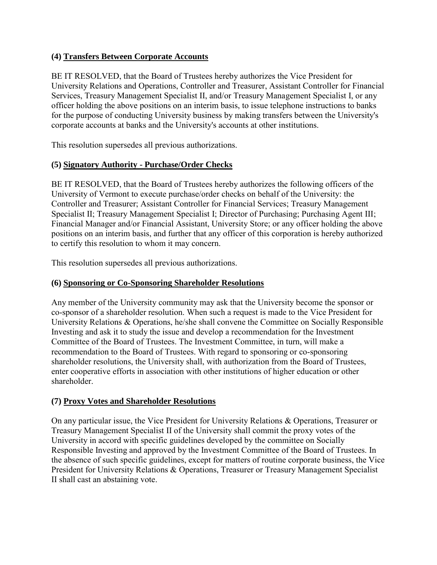## <span id="page-15-0"></span>**(4) Transfers Between Corporate Accounts**

BE IT RESOLVED, that the Board of Trustees hereby authorizes the Vice President for University Relations and Operations, Controller and Treasurer, Assistant Controller for Financial Services, Treasury Management Specialist II, and/or Treasury Management Specialist I, or any officer holding the above positions on an interim basis, to issue telephone instructions to banks for the purpose of conducting University business by making transfers between the University's corporate accounts at banks and the University's accounts at other institutions.

This resolution supersedes all previous authorizations.

## **(5) Signatory Authority - Purchase/Order Checks**

BE IT RESOLVED, that the Board of Trustees hereby authorizes the following officers of the University of Vermont to execute purchase/order checks on behalf of the University: the Controller and Treasurer; Assistant Controller for Financial Services; Treasury Management Specialist II; Treasury Management Specialist I; Director of Purchasing; Purchasing Agent III; Financial Manager and/or Financial Assistant, University Store; or any officer holding the above positions on an interim basis, and further that any officer of this corporation is hereby authorized to certify this resolution to whom it may concern.

This resolution supersedes all previous authorizations.

## **(6) Sponsoring or Co-Sponsoring Shareholder Resolutions**

Any member of the University community may ask that the University become the sponsor or co-sponsor of a shareholder resolution. When such a request is made to the Vice President for University Relations & Operations, he/she shall convene the Committee on Socially Responsible Investing and ask it to study the issue and develop a recommendation for the Investment Committee of the Board of Trustees. The Investment Committee, in turn, will make a recommendation to the Board of Trustees. With regard to sponsoring or co-sponsoring shareholder resolutions, the University shall, with authorization from the Board of Trustees, enter cooperative efforts in association with other institutions of higher education or other shareholder.

### **(7) Proxy Votes and Shareholder Resolutions**

On any particular issue, the Vice President for University Relations & Operations, Treasurer or Treasury Management Specialist II of the University shall commit the proxy votes of the University in accord with specific guidelines developed by the committee on Socially Responsible Investing and approved by the Investment Committee of the Board of Trustees. In the absence of such specific guidelines, except for matters of routine corporate business, the Vice President for University Relations & Operations, Treasurer or Treasury Management Specialist II shall cast an abstaining vote.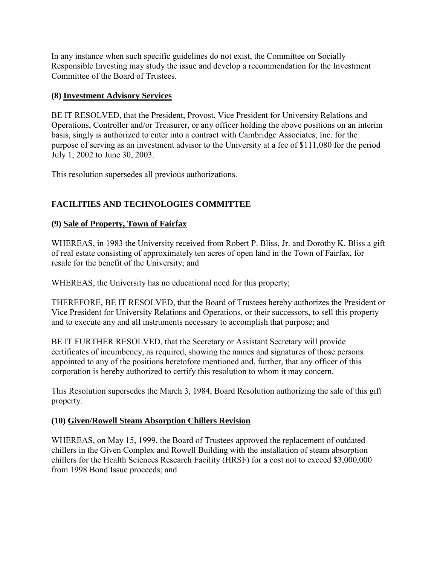<span id="page-16-0"></span>In any instance when such specific guidelines do not exist, the Committee on Socially Responsible Investing may study the issue and develop a recommendation for the Investment Committee of the Board of Trustees.

## **(8) Investment Advisory Services**

BE IT RESOLVED, that the President, Provost, Vice President for University Relations and Operations, Controller and/or Treasurer, or any officer holding the above positions on an interim basis, singly is authorized to enter into a contract with Cambridge Associates, Inc. for the purpose of serving as an investment advisor to the University at a fee of \$111,080 for the period July 1, 2002 to June 30, 2003.

This resolution supersedes all previous authorizations.

# **FACILITIES AND TECHNOLOGIES COMMITTEE**

## **(9) Sale of Property, Town of Fairfax**

WHEREAS, in 1983 the University received from Robert P. Bliss, Jr. and Dorothy K. Bliss a gift of real estate consisting of approximately ten acres of open land in the Town of Fairfax, for resale for the benefit of the University; and

WHEREAS, the University has no educational need for this property;

THEREFORE, BE IT RESOLVED, that the Board of Trustees hereby authorizes the President or Vice President for University Relations and Operations, or their successors, to sell this property and to execute any and all instruments necessary to accomplish that purpose; and

BE IT FURTHER RESOLVED, that the Secretary or Assistant Secretary will provide certificates of incumbency, as required, showing the names and signatures of those persons appointed to any of the positions heretofore mentioned and, further, that any officer of this corporation is hereby authorized to certify this resolution to whom it may concern.

This Resolution supersedes the March 3, 1984, Board Resolution authorizing the sale of this gift property.

## **(10) Given/Rowell Steam Absorption Chillers Revision**

WHEREAS, on May 15, 1999, the Board of Trustees approved the replacement of outdated chillers in the Given Complex and Rowell Building with the installation of steam absorption chillers for the Health Sciences Research Facility (HRSF) for a cost not to exceed \$3,000,000 from 1998 Bond Issue proceeds; and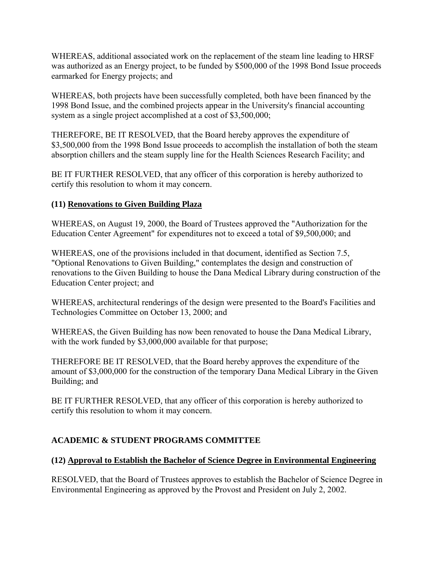<span id="page-17-0"></span>WHEREAS, additional associated work on the replacement of the steam line leading to HRSF was authorized as an Energy project, to be funded by \$500,000 of the 1998 Bond Issue proceeds earmarked for Energy projects; and

WHEREAS, both projects have been successfully completed, both have been financed by the 1998 Bond Issue, and the combined projects appear in the University's financial accounting system as a single project accomplished at a cost of \$3,500,000;

THEREFORE, BE IT RESOLVED, that the Board hereby approves the expenditure of \$3,500,000 from the 1998 Bond Issue proceeds to accomplish the installation of both the steam absorption chillers and the steam supply line for the Health Sciences Research Facility; and

BE IT FURTHER RESOLVED, that any officer of this corporation is hereby authorized to certify this resolution to whom it may concern.

## **(11) Renovations to Given Building Plaza**

WHEREAS, on August 19, 2000, the Board of Trustees approved the "Authorization for the Education Center Agreement" for expenditures not to exceed a total of \$9,500,000; and

WHEREAS, one of the provisions included in that document, identified as Section 7.5, "Optional Renovations to Given Building," contemplates the design and construction of renovations to the Given Building to house the Dana Medical Library during construction of the Education Center project; and

WHEREAS, architectural renderings of the design were presented to the Board's Facilities and Technologies Committee on October 13, 2000; and

WHEREAS, the Given Building has now been renovated to house the Dana Medical Library, with the work funded by \$3,000,000 available for that purpose;

THEREFORE BE IT RESOLVED, that the Board hereby approves the expenditure of the amount of \$3,000,000 for the construction of the temporary Dana Medical Library in the Given Building; and

BE IT FURTHER RESOLVED, that any officer of this corporation is hereby authorized to certify this resolution to whom it may concern.

## **ACADEMIC & STUDENT PROGRAMS COMMITTEE**

### **(12) Approval to Establish the Bachelor of Science Degree in Environmental Engineering**

RESOLVED, that the Board of Trustees approves to establish the Bachelor of Science Degree in Environmental Engineering as approved by the Provost and President on July 2, 2002.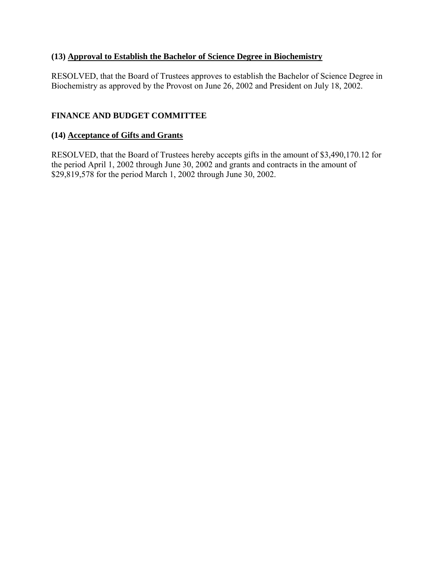## <span id="page-18-0"></span>**(13) Approval to Establish the Bachelor of Science Degree in Biochemistry**

RESOLVED, that the Board of Trustees approves to establish the Bachelor of Science Degree in Biochemistry as approved by the Provost on June 26, 2002 and President on July 18, 2002.

## **FINANCE AND BUDGET COMMITTEE**

## **(14) Acceptance of Gifts and Grants**

RESOLVED, that the Board of Trustees hereby accepts gifts in the amount of \$3,490,170.12 for the period April 1, 2002 through June 30, 2002 and grants and contracts in the amount of \$29,819,578 for the period March 1, 2002 through June 30, 2002.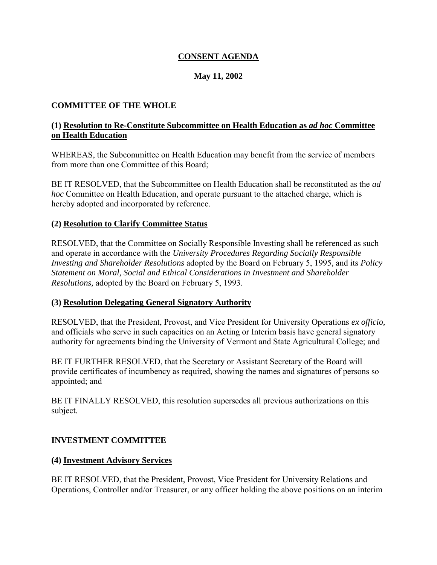## **CONSENT AGENDA**

## **May 11, 2002**

## <span id="page-19-0"></span>**COMMITTEE OF THE WHOLE**

### **(1) Resolution to Re-Constitute Subcommittee on Health Education as** *ad hoc* **Committee on Health Education**

WHEREAS, the Subcommittee on Health Education may benefit from the service of members from more than one Committee of this Board;

BE IT RESOLVED, that the Subcommittee on Health Education shall be reconstituted as the *ad hoc* Committee on Health Education, and operate pursuant to the attached charge, which is hereby adopted and incorporated by reference.

### **(2) Resolution to Clarify Committee Status**

RESOLVED, that the Committee on Socially Responsible Investing shall be referenced as such and operate in accordance with the *University Procedures Regarding Socially Responsible Investing and Shareholder Resolutions* adopted by the Board on February 5, 1995, and its *Policy Statement on Moral, Social and Ethical Considerations in Investment and Shareholder Resolutions,* adopted by the Board on February 5, 1993.

#### **(3) Resolution Delegating General Signatory Authority**

RESOLVED, that the President, Provost, and Vice President for University Operations *ex officio,*  and officials who serve in such capacities on an Acting or Interim basis have general signatory authority for agreements binding the University of Vermont and State Agricultural College; and

BE IT FURTHER RESOLVED, that the Secretary or Assistant Secretary of the Board will provide certificates of incumbency as required, showing the names and signatures of persons so appointed; and

BE IT FINALLY RESOLVED, this resolution supersedes all previous authorizations on this subject.

### **INVESTMENT COMMITTEE**

#### **(4) Investment Advisory Services**

BE IT RESOLVED, that the President, Provost, Vice President for University Relations and Operations, Controller and/or Treasurer, or any officer holding the above positions on an interim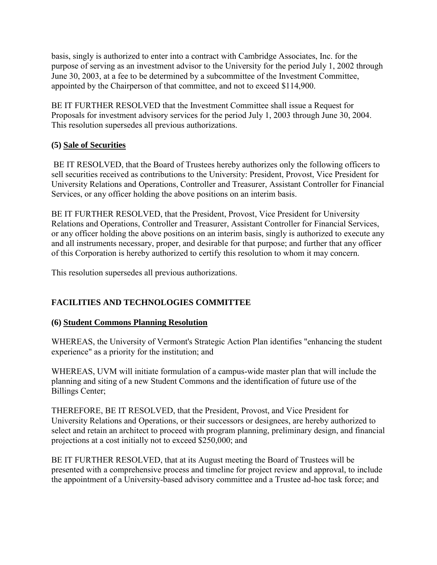<span id="page-20-0"></span>basis, singly is authorized to enter into a contract with Cambridge Associates, Inc. for the purpose of serving as an investment advisor to the University for the period July 1, 2002 through June 30, 2003, at a fee to be determined by a subcommittee of the Investment Committee, appointed by the Chairperson of that committee, and not to exceed \$114,900.

BE IT FURTHER RESOLVED that the Investment Committee shall issue a Request for Proposals for investment advisory services for the period July 1, 2003 through June 30, 2004. This resolution supersedes all previous authorizations.

## **(5) Sale of Securities**

BE IT RESOLVED, that the Board of Trustees hereby authorizes only the following officers to sell securities received as contributions to the University: President, Provost, Vice President for University Relations and Operations, Controller and Treasurer, Assistant Controller for Financial Services, or any officer holding the above positions on an interim basis.

BE IT FURTHER RESOLVED, that the President, Provost, Vice President for University Relations and Operations, Controller and Treasurer, Assistant Controller for Financial Services, or any officer holding the above positions on an interim basis, singly is authorized to execute any and all instruments necessary, proper, and desirable for that purpose; and further that any officer of this Corporation is hereby authorized to certify this resolution to whom it may concern.

This resolution supersedes all previous authorizations.

# **FACILITIES AND TECHNOLOGIES COMMITTEE**

### **(6) Student Commons Planning Resolution**

WHEREAS, the University of Vermont's Strategic Action Plan identifies "enhancing the student experience" as a priority for the institution; and

WHEREAS, UVM will initiate formulation of a campus-wide master plan that will include the planning and siting of a new Student Commons and the identification of future use of the Billings Center;

THEREFORE, BE IT RESOLVED, that the President, Provost, and Vice President for University Relations and Operations, or their successors or designees, are hereby authorized to select and retain an architect to proceed with program planning, preliminary design, and financial projections at a cost initially not to exceed \$250,000; and

BE IT FURTHER RESOLVED, that at its August meeting the Board of Trustees will be presented with a comprehensive process and timeline for project review and approval, to include the appointment of a University-based advisory committee and a Trustee ad-hoc task force; and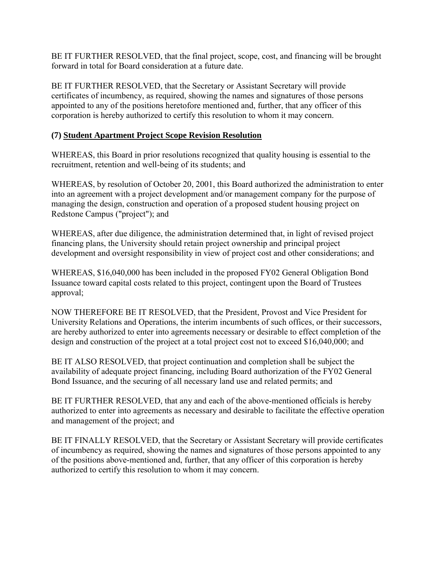<span id="page-21-0"></span>BE IT FURTHER RESOLVED, that the final project, scope, cost, and financing will be brought forward in total for Board consideration at a future date.

BE IT FURTHER RESOLVED, that the Secretary or Assistant Secretary will provide certificates of incumbency, as required, showing the names and signatures of those persons appointed to any of the positions heretofore mentioned and, further, that any officer of this corporation is hereby authorized to certify this resolution to whom it may concern.

## **(7) Student Apartment Project Scope Revision Resolution**

WHEREAS, this Board in prior resolutions recognized that quality housing is essential to the recruitment, retention and well-being of its students; and

WHEREAS, by resolution of October 20, 2001, this Board authorized the administration to enter into an agreement with a project development and/or management company for the purpose of managing the design, construction and operation of a proposed student housing project on Redstone Campus ("project"); and

WHEREAS, after due diligence, the administration determined that, in light of revised project financing plans, the University should retain project ownership and principal project development and oversight responsibility in view of project cost and other considerations; and

WHEREAS, \$16,040,000 has been included in the proposed FY02 General Obligation Bond Issuance toward capital costs related to this project, contingent upon the Board of Trustees approval;

NOW THEREFORE BE IT RESOLVED, that the President, Provost and Vice President for University Relations and Operations, the interim incumbents of such offices, or their successors, are hereby authorized to enter into agreements necessary or desirable to effect completion of the design and construction of the project at a total project cost not to exceed \$16,040,000; and

BE IT ALSO RESOLVED, that project continuation and completion shall be subject the availability of adequate project financing, including Board authorization of the FY02 General Bond Issuance, and the securing of all necessary land use and related permits; and

BE IT FURTHER RESOLVED, that any and each of the above-mentioned officials is hereby authorized to enter into agreements as necessary and desirable to facilitate the effective operation and management of the project; and

BE IT FINALLY RESOLVED, that the Secretary or Assistant Secretary will provide certificates of incumbency as required, showing the names and signatures of those persons appointed to any of the positions above-mentioned and, further, that any officer of this corporation is hereby authorized to certify this resolution to whom it may concern.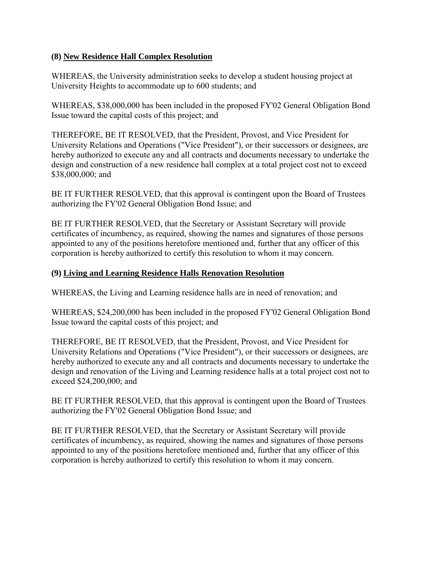## <span id="page-22-0"></span>**(8) New Residence Hall Complex Resolution**

WHEREAS, the University administration seeks to develop a student housing project at University Heights to accommodate up to 600 students; and

WHEREAS, \$38,000,000 has been included in the proposed FY'02 General Obligation Bond Issue toward the capital costs of this project; and

THEREFORE, BE IT RESOLVED, that the President, Provost, and Vice President for University Relations and Operations ("Vice President"), or their successors or designees, are hereby authorized to execute any and all contracts and documents necessary to undertake the design and construction of a new residence hall complex at a total project cost not to exceed \$38,000,000; and

BE IT FURTHER RESOLVED, that this approval is contingent upon the Board of Trustees authorizing the FY'02 General Obligation Bond Issue; and

BE IT FURTHER RESOLVED, that the Secretary or Assistant Secretary will provide certificates of incumbency, as required, showing the names and signatures of those persons appointed to any of the positions heretofore mentioned and, further that any officer of this corporation is hereby authorized to certify this resolution to whom it may concern.

## **(9) Living and Learning Residence Halls Renovation Resolution**

WHEREAS, the Living and Learning residence halls are in need of renovation; and

WHEREAS, \$24,200,000 has been included in the proposed FY'02 General Obligation Bond Issue toward the capital costs of this project; and

THEREFORE, BE IT RESOLVED, that the President, Provost, and Vice President for University Relations and Operations ("Vice President"), or their successors or designees, are hereby authorized to execute any and all contracts and documents necessary to undertake the design and renovation of the Living and Learning residence halls at a total project cost not to exceed \$24,200,000; and

BE IT FURTHER RESOLVED, that this approval is contingent upon the Board of Trustees authorizing the FY'02 General Obligation Bond Issue; and

BE IT FURTHER RESOLVED, that the Secretary or Assistant Secretary will provide certificates of incumbency, as required, showing the names and signatures of those persons appointed to any of the positions heretofore mentioned and, further that any officer of this corporation is hereby authorized to certify this resolution to whom it may concern.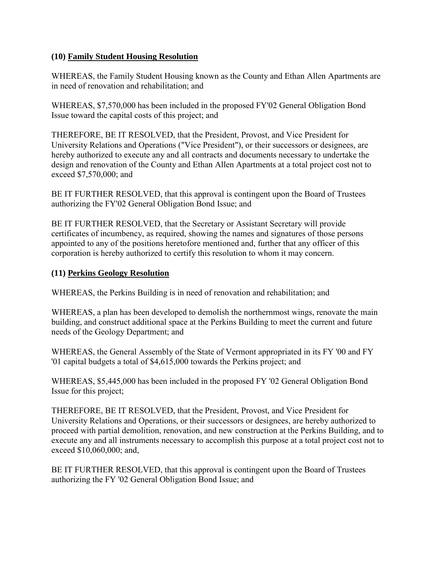### <span id="page-23-0"></span>**(10) Family Student Housing Resolution**

WHEREAS, the Family Student Housing known as the County and Ethan Allen Apartments are in need of renovation and rehabilitation; and

WHEREAS, \$7,570,000 has been included in the proposed FY'02 General Obligation Bond Issue toward the capital costs of this project; and

THEREFORE, BE IT RESOLVED, that the President, Provost, and Vice President for University Relations and Operations ("Vice President"), or their successors or designees, are hereby authorized to execute any and all contracts and documents necessary to undertake the design and renovation of the County and Ethan Allen Apartments at a total project cost not to exceed \$7,570,000; and

BE IT FURTHER RESOLVED, that this approval is contingent upon the Board of Trustees authorizing the FY'02 General Obligation Bond Issue; and

BE IT FURTHER RESOLVED, that the Secretary or Assistant Secretary will provide certificates of incumbency, as required, showing the names and signatures of those persons appointed to any of the positions heretofore mentioned and, further that any officer of this corporation is hereby authorized to certify this resolution to whom it may concern.

### **(11) Perkins Geology Resolution**

WHEREAS, the Perkins Building is in need of renovation and rehabilitation; and

WHEREAS, a plan has been developed to demolish the northernmost wings, renovate the main building, and construct additional space at the Perkins Building to meet the current and future needs of the Geology Department; and

WHEREAS, the General Assembly of the State of Vermont appropriated in its FY '00 and FY '01 capital budgets a total of \$4,615,000 towards the Perkins project; and

WHEREAS, \$5,445,000 has been included in the proposed FY '02 General Obligation Bond Issue for this project;

THEREFORE, BE IT RESOLVED, that the President, Provost, and Vice President for University Relations and Operations, or their successors or designees, are hereby authorized to proceed with partial demolition, renovation, and new construction at the Perkins Building, and to execute any and all instruments necessary to accomplish this purpose at a total project cost not to exceed \$10,060,000; and,

BE IT FURTHER RESOLVED, that this approval is contingent upon the Board of Trustees authorizing the FY '02 General Obligation Bond Issue; and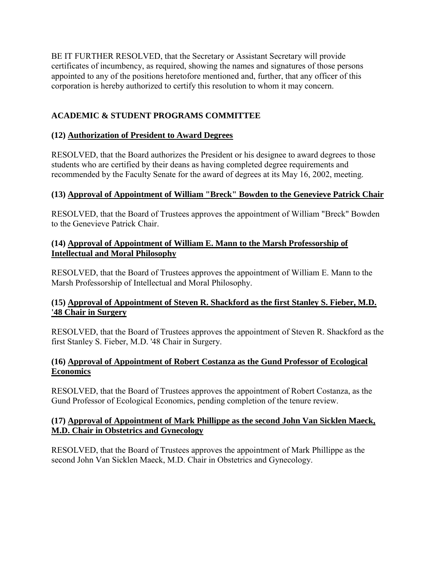<span id="page-24-0"></span>BE IT FURTHER RESOLVED, that the Secretary or Assistant Secretary will provide certificates of incumbency, as required, showing the names and signatures of those persons appointed to any of the positions heretofore mentioned and, further, that any officer of this corporation is hereby authorized to certify this resolution to whom it may concern.

# **ACADEMIC & STUDENT PROGRAMS COMMITTEE**

## **(12) Authorization of President to Award Degrees**

RESOLVED, that the Board authorizes the President or his designee to award degrees to those students who are certified by their deans as having completed degree requirements and recommended by the Faculty Senate for the award of degrees at its May 16, 2002, meeting.

## **(13) Approval of Appointment of William "Breck" Bowden to the Genevieve Patrick Chair**

RESOLVED, that the Board of Trustees approves the appointment of William "Breck" Bowden to the Genevieve Patrick Chair.

## **(14) Approval of Appointment of William E. Mann to the Marsh Professorship of Intellectual and Moral Philosophy**

RESOLVED, that the Board of Trustees approves the appointment of William E. Mann to the Marsh Professorship of Intellectual and Moral Philosophy.

## **(15) Approval of Appointment of Steven R. Shackford as the first Stanley S. Fieber, M.D. '48 Chair in Surgery**

RESOLVED, that the Board of Trustees approves the appointment of Steven R. Shackford as the first Stanley S. Fieber, M.D. '48 Chair in Surgery.

### **(16) Approval of Appointment of Robert Costanza as the Gund Professor of Ecological Economics**

RESOLVED, that the Board of Trustees approves the appointment of Robert Costanza, as the Gund Professor of Ecological Economics, pending completion of the tenure review.

### **(17) Approval of Appointment of Mark Phillippe as the second John Van Sicklen Maeck, M.D. Chair in Obstetrics and Gynecology**

RESOLVED, that the Board of Trustees approves the appointment of Mark Phillippe as the second John Van Sicklen Maeck, M.D. Chair in Obstetrics and Gynecology.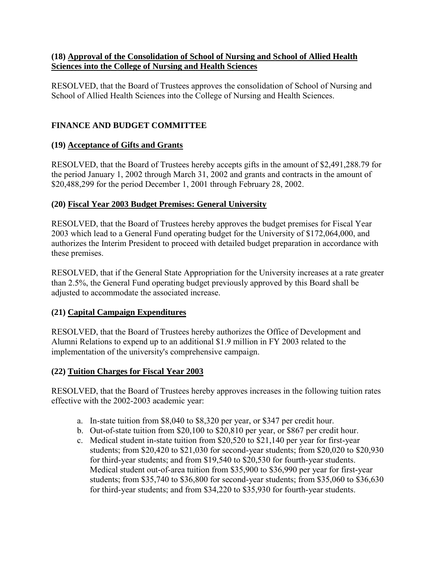## <span id="page-25-0"></span>**(18) Approval of the Consolidation of School of Nursing and School of Allied Health Sciences into the College of Nursing and Health Sciences**

RESOLVED, that the Board of Trustees approves the consolidation of School of Nursing and School of Allied Health Sciences into the College of Nursing and Health Sciences.

# **FINANCE AND BUDGET COMMITTEE**

## **(19) Acceptance of Gifts and Grants**

RESOLVED, that the Board of Trustees hereby accepts gifts in the amount of \$2,491,288.79 for the period January 1, 2002 through March 31, 2002 and grants and contracts in the amount of \$20,488,299 for the period December 1, 2001 through February 28, 2002.

## **(20) Fiscal Year 2003 Budget Premises: General University**

RESOLVED, that the Board of Trustees hereby approves the budget premises for Fiscal Year 2003 which lead to a General Fund operating budget for the University of \$172,064,000, and authorizes the Interim President to proceed with detailed budget preparation in accordance with these premises.

RESOLVED, that if the General State Appropriation for the University increases at a rate greater than 2.5%, the General Fund operating budget previously approved by this Board shall be adjusted to accommodate the associated increase.

## **(21) Capital Campaign Expenditures**

RESOLVED, that the Board of Trustees hereby authorizes the Office of Development and Alumni Relations to expend up to an additional \$1.9 million in FY 2003 related to the implementation of the university's comprehensive campaign.

## **(22) Tuition Charges for Fiscal Year 2003**

RESOLVED, that the Board of Trustees hereby approves increases in the following tuition rates effective with the 2002-2003 academic year:

- a. In-state tuition from \$8,040 to \$8,320 per year, or \$347 per credit hour.
- b. Out-of-state tuition from \$20,100 to \$20,810 per year, or \$867 per credit hour.
- c. Medical student in-state tuition from \$20,520 to \$21,140 per year for first-year students; from \$20,420 to \$21,030 for second-year students; from \$20,020 to \$20,930 for third-year students; and from \$19,540 to \$20,530 for fourth-year students. Medical student out-of-area tuition from \$35,900 to \$36,990 per year for first-year students; from \$35,740 to \$36,800 for second-year students; from \$35,060 to \$36,630 for third-year students; and from \$34,220 to \$35,930 for fourth-year students.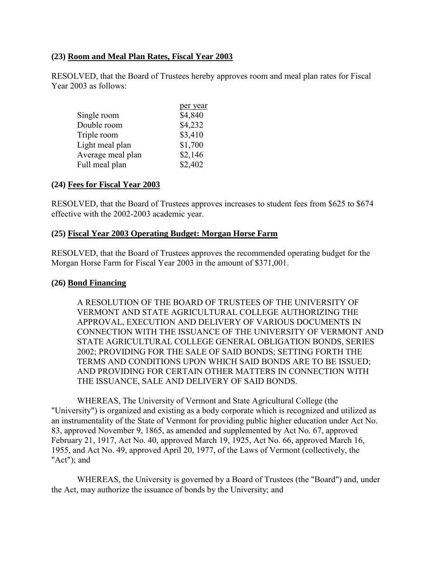### <span id="page-26-0"></span>**(23) Room and Meal Plan Rates, Fiscal Year 2003**

RESOLVED, that the Board of Trustees hereby approves room and meal plan rates for Fiscal Year 2003 as follows:

| Single room       | \$4,840 |
|-------------------|---------|
| Double room       | \$4,232 |
| Triple room       | \$3,410 |
| Light meal plan   | \$1,700 |
| Average meal plan | \$2,146 |
| Full meal plan    | \$2,402 |

#### **(24) Fees for Fiscal Year 2003**

RESOLVED, that the Board of Trustees approves increases to student fees from \$625 to \$674 effective with the 2002-2003 academic year.

#### **(25) Fiscal Year 2003 Operating Budget: Morgan Horse Farm**

RESOLVED, that the Board of Trustees approves the recommended operating budget for the Morgan Horse Farm for Fiscal Year 2003 in the amount of \$371,001.

#### **(26) Bond Financing**

A RESOLUTION OF THE BOARD OF TRUSTEES OF THE UNIVERSITY OF VERMONT AND STATE AGRICULTURAL COLLEGE AUTHORIZING THE APPROVAL, EXECUTION AND DELIVERY OF VARIOUS DOCUMENTS IN CONNECTION WITH THE ISSUANCE OF THE UNIVERSITY OF VERMONT AND STATE AGRICULTURAL COLLEGE GENERAL OBLIGATION BONDS, SERIES 2002; PROVIDING FOR THE SALE OF SAID BONDS; SETTING FORTH THE TERMS AND CONDITIONS UPON WHICH SAID BONDS ARE TO BE ISSUED; AND PROVIDING FOR CERTAIN OTHER MATTERS IN CONNECTION WITH THE ISSUANCE, SALE AND DELIVERY OF SAID BONDS.

WHEREAS, The University of Vermont and State Agricultural College (the "University") is organized and existing as a body corporate which is recognized and utilized as an instrumentality of the State of Vermont for providing public higher education under Act No. 83, approved November 9, 1865, as amended and supplemented by Act No. 67, approved February 21, 1917, Act No. 40, approved March 19, 1925, Act No. 66, approved March 16, 1955, and Act No. 49, approved April 20, 1977, of the Laws of Vermont (collectively, the "Act"); and

 WHEREAS, the University is governed by a Board of Trustees (the "Board") and, under the Act, may authorize the issuance of bonds by the University; and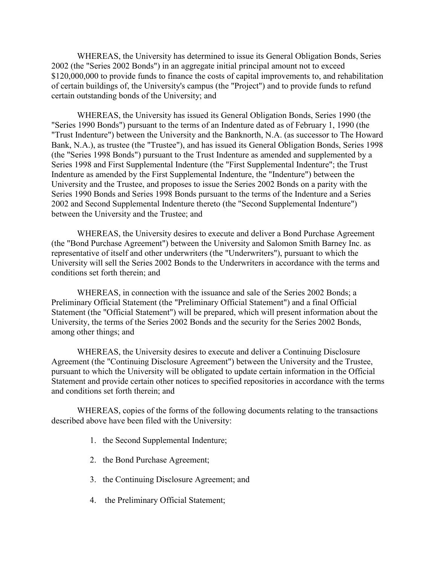WHEREAS, the University has determined to issue its General Obligation Bonds, Series 2002 (the "Series 2002 Bonds") in an aggregate initial principal amount not to exceed \$120,000,000 to provide funds to finance the costs of capital improvements to, and rehabilitation of certain buildings of, the University's campus (the "Project") and to provide funds to refund certain outstanding bonds of the University; and

WHEREAS, the University has issued its General Obligation Bonds, Series 1990 (the "Series 1990 Bonds") pursuant to the terms of an Indenture dated as of February 1, 1990 (the "Trust Indenture") between the University and the Banknorth, N.A. (as successor to The Howard Bank, N.A.), as trustee (the "Trustee"), and has issued its General Obligation Bonds, Series 1998 (the "Series 1998 Bonds") pursuant to the Trust Indenture as amended and supplemented by a Series 1998 and First Supplemental Indenture (the "First Supplemental Indenture"; the Trust Indenture as amended by the First Supplemental Indenture, the "Indenture") between the University and the Trustee, and proposes to issue the Series 2002 Bonds on a parity with the Series 1990 Bonds and Series 1998 Bonds pursuant to the terms of the Indenture and a Series 2002 and Second Supplemental Indenture thereto (the "Second Supplemental Indenture") between the University and the Trustee; and

 WHEREAS, the University desires to execute and deliver a Bond Purchase Agreement (the "Bond Purchase Agreement") between the University and Salomon Smith Barney Inc. as representative of itself and other underwriters (the "Underwriters"), pursuant to which the University will sell the Series 2002 Bonds to the Underwriters in accordance with the terms and conditions set forth therein; and

 WHEREAS, in connection with the issuance and sale of the Series 2002 Bonds; a Preliminary Official Statement (the "Preliminary Official Statement") and a final Official Statement (the "Official Statement") will be prepared, which will present information about the University, the terms of the Series 2002 Bonds and the security for the Series 2002 Bonds, among other things; and

 WHEREAS, the University desires to execute and deliver a Continuing Disclosure Agreement (the "Continuing Disclosure Agreement") between the University and the Trustee, pursuant to which the University will be obligated to update certain information in the Official Statement and provide certain other notices to specified repositories in accordance with the terms and conditions set forth therein; and

 WHEREAS, copies of the forms of the following documents relating to the transactions described above have been filed with the University:

- 1. the Second Supplemental Indenture;
- 2. the Bond Purchase Agreement;
- 3. the Continuing Disclosure Agreement; and
- 4. the Preliminary Official Statement;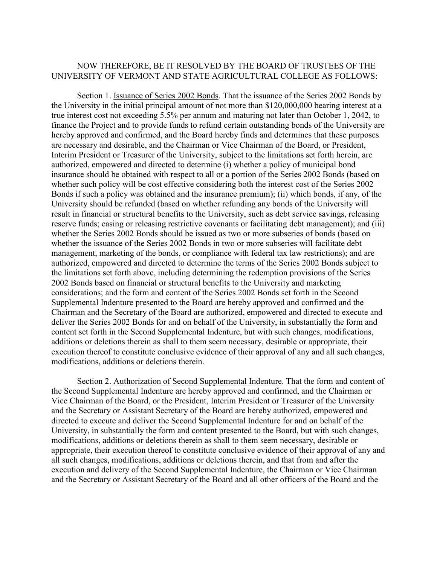#### NOW THEREFORE, BE IT RESOLVED BY THE BOARD OF TRUSTEES OF THE UNIVERSITY OF VERMONT AND STATE AGRICULTURAL COLLEGE AS FOLLOWS:

 Section 1. Issuance of Series 2002 Bonds. That the issuance of the Series 2002 Bonds by the University in the initial principal amount of not more than \$120,000,000 bearing interest at a true interest cost not exceeding 5.5% per annum and maturing not later than October 1, 2042, to finance the Project and to provide funds to refund certain outstanding bonds of the University are hereby approved and confirmed, and the Board hereby finds and determines that these purposes are necessary and desirable, and the Chairman or Vice Chairman of the Board, or President, Interim President or Treasurer of the University, subject to the limitations set forth herein, are authorized, empowered and directed to determine (i) whether a policy of municipal bond insurance should be obtained with respect to all or a portion of the Series 2002 Bonds (based on whether such policy will be cost effective considering both the interest cost of the Series 2002 Bonds if such a policy was obtained and the insurance premium); (ii) which bonds, if any, of the University should be refunded (based on whether refunding any bonds of the University will result in financial or structural benefits to the University, such as debt service savings, releasing reserve funds; easing or releasing restrictive covenants or facilitating debt management); and (iii) whether the Series 2002 Bonds should be issued as two or more subseries of bonds (based on whether the issuance of the Series 2002 Bonds in two or more subseries will facilitate debt management, marketing of the bonds, or compliance with federal tax law restrictions); and are authorized, empowered and directed to determine the terms of the Series 2002 Bonds subject to the limitations set forth above, including determining the redemption provisions of the Series 2002 Bonds based on financial or structural benefits to the University and marketing considerations; and the form and content of the Series 2002 Bonds set forth in the Second Supplemental Indenture presented to the Board are hereby approved and confirmed and the Chairman and the Secretary of the Board are authorized, empowered and directed to execute and deliver the Series 2002 Bonds for and on behalf of the University, in substantially the form and content set forth in the Second Supplemental Indenture, but with such changes, modifications, additions or deletions therein as shall to them seem necessary, desirable or appropriate, their execution thereof to constitute conclusive evidence of their approval of any and all such changes, modifications, additions or deletions therein.

 Section 2. Authorization of Second Supplemental Indenture. That the form and content of the Second Supplemental Indenture are hereby approved and confirmed, and the Chairman or Vice Chairman of the Board, or the President, Interim President or Treasurer of the University and the Secretary or Assistant Secretary of the Board are hereby authorized, empowered and directed to execute and deliver the Second Supplemental Indenture for and on behalf of the University, in substantially the form and content presented to the Board, but with such changes, modifications, additions or deletions therein as shall to them seem necessary, desirable or appropriate, their execution thereof to constitute conclusive evidence of their approval of any and all such changes, modifications, additions or deletions therein, and that from and after the execution and delivery of the Second Supplemental Indenture, the Chairman or Vice Chairman and the Secretary or Assistant Secretary of the Board and all other officers of the Board and the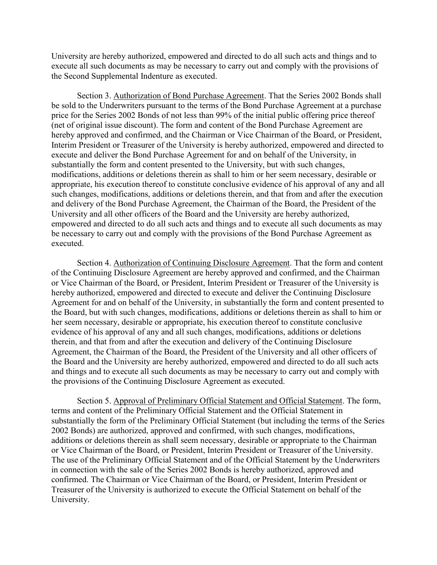University are hereby authorized, empowered and directed to do all such acts and things and to execute all such documents as may be necessary to carry out and comply with the provisions of the Second Supplemental Indenture as executed.

 Section 3. Authorization of Bond Purchase Agreement. That the Series 2002 Bonds shall be sold to the Underwriters pursuant to the terms of the Bond Purchase Agreement at a purchase price for the Series 2002 Bonds of not less than 99% of the initial public offering price thereof (net of original issue discount). The form and content of the Bond Purchase Agreement are hereby approved and confirmed, and the Chairman or Vice Chairman of the Board, or President, Interim President or Treasurer of the University is hereby authorized, empowered and directed to execute and deliver the Bond Purchase Agreement for and on behalf of the University, in substantially the form and content presented to the University, but with such changes, modifications, additions or deletions therein as shall to him or her seem necessary, desirable or appropriate, his execution thereof to constitute conclusive evidence of his approval of any and all such changes, modifications, additions or deletions therein, and that from and after the execution and delivery of the Bond Purchase Agreement, the Chairman of the Board, the President of the University and all other officers of the Board and the University are hereby authorized, empowered and directed to do all such acts and things and to execute all such documents as may be necessary to carry out and comply with the provisions of the Bond Purchase Agreement as executed.

 Section 4. Authorization of Continuing Disclosure Agreement. That the form and content of the Continuing Disclosure Agreement are hereby approved and confirmed, and the Chairman or Vice Chairman of the Board, or President, Interim President or Treasurer of the University is hereby authorized, empowered and directed to execute and deliver the Continuing Disclosure Agreement for and on behalf of the University, in substantially the form and content presented to the Board, but with such changes, modifications, additions or deletions therein as shall to him or her seem necessary, desirable or appropriate, his execution thereof to constitute conclusive evidence of his approval of any and all such changes, modifications, additions or deletions therein, and that from and after the execution and delivery of the Continuing Disclosure Agreement, the Chairman of the Board, the President of the University and all other officers of the Board and the University are hereby authorized, empowered and directed to do all such acts and things and to execute all such documents as may be necessary to carry out and comply with the provisions of the Continuing Disclosure Agreement as executed.

 Section 5. Approval of Preliminary Official Statement and Official Statement. The form, terms and content of the Preliminary Official Statement and the Official Statement in substantially the form of the Preliminary Official Statement (but including the terms of the Series 2002 Bonds) are authorized, approved and confirmed, with such changes, modifications, additions or deletions therein as shall seem necessary, desirable or appropriate to the Chairman or Vice Chairman of the Board, or President, Interim President or Treasurer of the University. The use of the Preliminary Official Statement and of the Official Statement by the Underwriters in connection with the sale of the Series 2002 Bonds is hereby authorized, approved and confirmed. The Chairman or Vice Chairman of the Board, or President, Interim President or Treasurer of the University is authorized to execute the Official Statement on behalf of the University.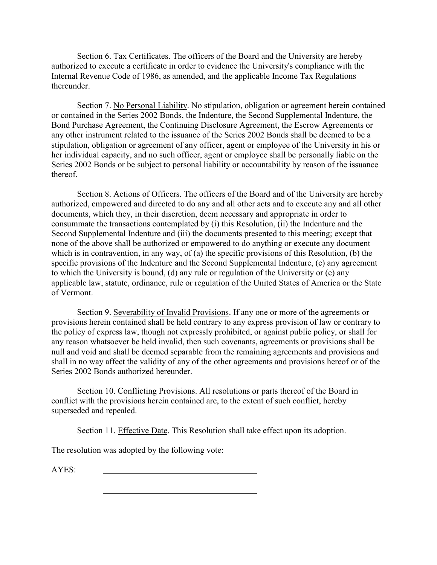Section 6. Tax Certificates. The officers of the Board and the University are hereby authorized to execute a certificate in order to evidence the University's compliance with the Internal Revenue Code of 1986, as amended, and the applicable Income Tax Regulations thereunder.

 Section 7. No Personal Liability. No stipulation, obligation or agreement herein contained or contained in the Series 2002 Bonds, the Indenture, the Second Supplemental Indenture, the Bond Purchase Agreement, the Continuing Disclosure Agreement, the Escrow Agreements or any other instrument related to the issuance of the Series 2002 Bonds shall be deemed to be a stipulation, obligation or agreement of any officer, agent or employee of the University in his or her individual capacity, and no such officer, agent or employee shall be personally liable on the Series 2002 Bonds or be subject to personal liability or accountability by reason of the issuance thereof.

 Section 8. Actions of Officers. The officers of the Board and of the University are hereby authorized, empowered and directed to do any and all other acts and to execute any and all other documents, which they, in their discretion, deem necessary and appropriate in order to consummate the transactions contemplated by (i) this Resolution, (ii) the Indenture and the Second Supplemental Indenture and (iii) the documents presented to this meeting; except that none of the above shall be authorized or empowered to do anything or execute any document which is in contravention, in any way, of (a) the specific provisions of this Resolution, (b) the specific provisions of the Indenture and the Second Supplemental Indenture, (c) any agreement to which the University is bound, (d) any rule or regulation of the University or (e) any applicable law, statute, ordinance, rule or regulation of the United States of America or the State of Vermont.

 Section 9. Severability of Invalid Provisions. If any one or more of the agreements or provisions herein contained shall be held contrary to any express provision of law or contrary to the policy of express law, though not expressly prohibited, or against public policy, or shall for any reason whatsoever be held invalid, then such covenants, agreements or provisions shall be null and void and shall be deemed separable from the remaining agreements and provisions and shall in no way affect the validity of any of the other agreements and provisions hereof or of the Series 2002 Bonds authorized hereunder.

 Section 10. Conflicting Provisions. All resolutions or parts thereof of the Board in conflict with the provisions herein contained are, to the extent of such conflict, hereby superseded and repealed.

Section 11. Effective Date. This Resolution shall take effect upon its adoption.

The resolution was adopted by the following vote:

AYES: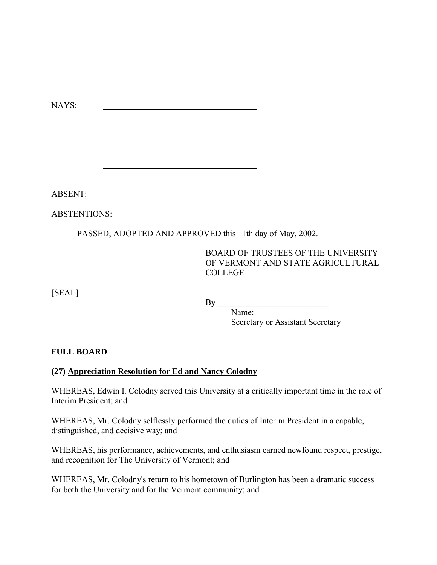<span id="page-31-0"></span>

| NAYS:                  |                                                                                                                                 |                |                                                                                                |
|------------------------|---------------------------------------------------------------------------------------------------------------------------------|----------------|------------------------------------------------------------------------------------------------|
|                        | <u> 1980 - Johann Barn, mars ann an t-Amhain Aonaich an t-Aonaich an t-Aonaich ann an t-Aonaich ann an t-Aonaich</u>            |                |                                                                                                |
|                        | <u> 1980 - Johann Barbara, martxa alemaniar argumento este alemaniar alemaniar alemaniar alemaniar alemaniar al</u>             |                |                                                                                                |
|                        |                                                                                                                                 |                |                                                                                                |
| <b>ABSENT:</b>         | <u> 1989 - Johann Barbara, martxa eta idazlea (h. 1989).</u>                                                                    |                |                                                                                                |
|                        |                                                                                                                                 |                |                                                                                                |
|                        | PASSED, ADOPTED AND APPROVED this 11th day of May, 2002.                                                                        |                |                                                                                                |
|                        |                                                                                                                                 | <b>COLLEGE</b> | <b>BOARD OF TRUSTEES OF THE UNIVERSITY</b><br>OF VERMONT AND STATE AGRICULTURAL                |
| [SEAL]                 |                                                                                                                                 | Name:          | Secretary or Assistant Secretary                                                               |
| <b>FULL BOARD</b>      |                                                                                                                                 |                |                                                                                                |
|                        | (27) Appreciation Resolution for Ed and Nancy Colodny                                                                           |                |                                                                                                |
| Interim President; and |                                                                                                                                 |                | WHEREAS, Edwin I. Colodny served this University at a critically important time in the role of |
|                        | WHEREAS, Mr. Colodny selflessly performed the duties of Interim President in a capable,<br>distinguished, and decisive way; and |                |                                                                                                |
|                        | and recognition for The University of Vermont; and                                                                              |                | WHEREAS, his performance, achievements, and enthusiasm earned newfound respect, prestige,      |
|                        |                                                                                                                                 |                | WHEREAS Mr. Colodny's return to his hometown of Burlington has been a dramatic success         |

WHEREAS, Mr. Colodny's return to his hometown of Burlington has been a dramatic success for both the University and for the Vermont community; and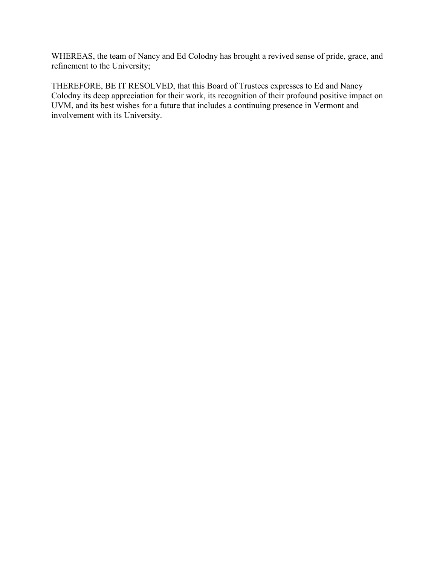WHEREAS, the team of Nancy and Ed Colodny has brought a revived sense of pride, grace, and refinement to the University;

THEREFORE, BE IT RESOLVED, that this Board of Trustees expresses to Ed and Nancy Colodny its deep appreciation for their work, its recognition of their profound positive impact on UVM, and its best wishes for a future that includes a continuing presence in Vermont and involvement with its University.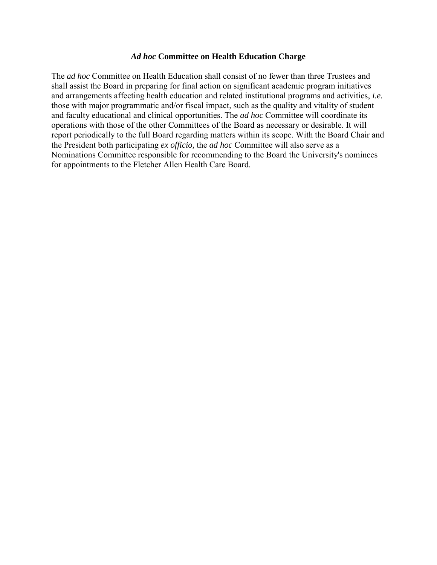#### *Ad hoc* **Committee on Health Education Charge**

The *ad hoc* Committee on Health Education shall consist of no fewer than three Trustees and shall assist the Board in preparing for final action on significant academic program initiatives and arrangements affecting health education and related institutional programs and activities, *i.e.* those with major programmatic and/or fiscal impact, such as the quality and vitality of student and faculty educational and clinical opportunities. The *ad hoc* Committee will coordinate its operations with those of the other Committees of the Board as necessary or desirable. It will report periodically to the full Board regarding matters within its scope. With the Board Chair and the President both participating *ex officio,* the *ad hoc* Committee will also serve as a Nominations Committee responsible for recommending to the Board the University's nominees for appointments to the Fletcher Allen Health Care Board.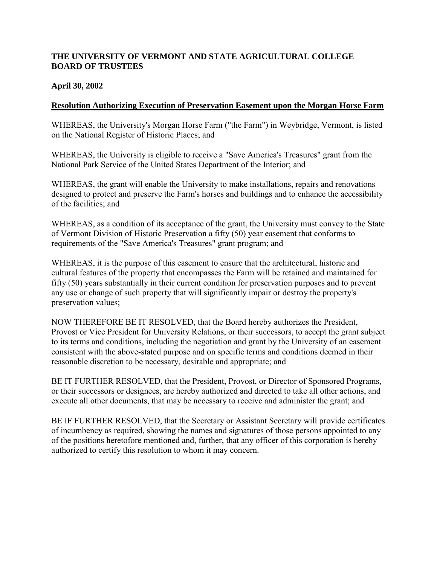## <span id="page-34-0"></span>**THE UNIVERSITY OF VERMONT AND STATE AGRICULTURAL COLLEGE BOARD OF TRUSTEES**

### **April 30, 2002**

### **Resolution Authorizing Execution of Preservation Easement upon the Morgan Horse Farm**

WHEREAS, the University's Morgan Horse Farm ("the Farm") in Weybridge, Vermont, is listed on the National Register of Historic Places; and

WHEREAS, the University is eligible to receive a "Save America's Treasures" grant from the National Park Service of the United States Department of the Interior; and

WHEREAS, the grant will enable the University to make installations, repairs and renovations designed to protect and preserve the Farm's horses and buildings and to enhance the accessibility of the facilities; and

WHEREAS, as a condition of its acceptance of the grant, the University must convey to the State of Vermont Division of Historic Preservation a fifty (50) year easement that conforms to requirements of the "Save America's Treasures" grant program; and

WHEREAS, it is the purpose of this easement to ensure that the architectural, historic and cultural features of the property that encompasses the Farm will be retained and maintained for fifty (50) years substantially in their current condition for preservation purposes and to prevent any use or change of such property that will significantly impair or destroy the property's preservation values;

NOW THEREFORE BE IT RESOLVED, that the Board hereby authorizes the President, Provost or Vice President for University Relations, or their successors, to accept the grant subject to its terms and conditions, including the negotiation and grant by the University of an easement consistent with the above-stated purpose and on specific terms and conditions deemed in their reasonable discretion to be necessary, desirable and appropriate; and

BE IT FURTHER RESOLVED, that the President, Provost, or Director of Sponsored Programs, or their successors or designees, are hereby authorized and directed to take all other actions, and execute all other documents, that may be necessary to receive and administer the grant; and

BE IF FURTHER RESOLVED, that the Secretary or Assistant Secretary will provide certificates of incumbency as required, showing the names and signatures of those persons appointed to any of the positions heretofore mentioned and, further, that any officer of this corporation is hereby authorized to certify this resolution to whom it may concern.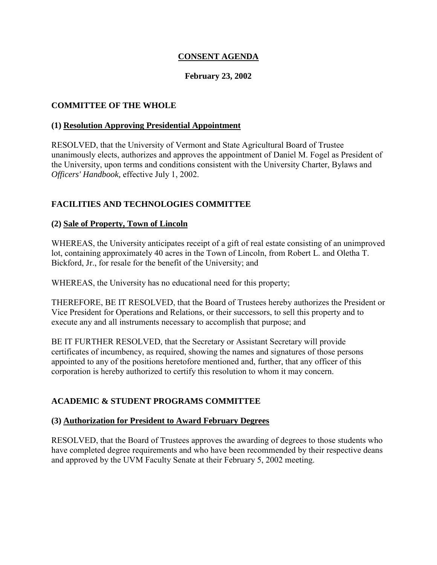## **CONSENT AGENDA**

### **February 23, 2002**

### <span id="page-35-0"></span>**COMMITTEE OF THE WHOLE**

#### **(1) Resolution Approving Presidential Appointment**

RESOLVED, that the University of Vermont and State Agricultural Board of Trustee unanimously elects, authorizes and approves the appointment of Daniel M. Fogel as President of the University, upon terms and conditions consistent with the University Charter, Bylaws and *Officers' Handbook,* effective July 1, 2002.

## **FACILITIES AND TECHNOLOGIES COMMITTEE**

### **(2) Sale of Property, Town of Lincoln**

WHEREAS, the University anticipates receipt of a gift of real estate consisting of an unimproved lot, containing approximately 40 acres in the Town of Lincoln, from Robert L. and Oletha T. Bickford, Jr., for resale for the benefit of the University; and

WHEREAS, the University has no educational need for this property;

THEREFORE, BE IT RESOLVED, that the Board of Trustees hereby authorizes the President or Vice President for Operations and Relations, or their successors, to sell this property and to execute any and all instruments necessary to accomplish that purpose; and

BE IT FURTHER RESOLVED, that the Secretary or Assistant Secretary will provide certificates of incumbency, as required, showing the names and signatures of those persons appointed to any of the positions heretofore mentioned and, further, that any officer of this corporation is hereby authorized to certify this resolution to whom it may concern.

### **ACADEMIC & STUDENT PROGRAMS COMMITTEE**

#### **(3) Authorization for President to Award February Degrees**

RESOLVED, that the Board of Trustees approves the awarding of degrees to those students who have completed degree requirements and who have been recommended by their respective deans and approved by the UVM Faculty Senate at their February 5, 2002 meeting.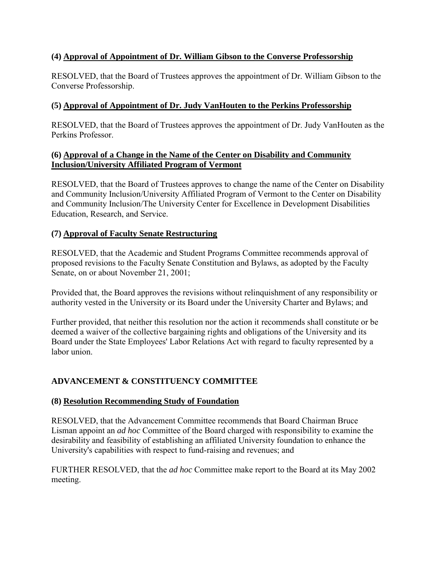## <span id="page-36-0"></span>**(4) Approval of Appointment of Dr. William Gibson to the Converse Professorship**

RESOLVED, that the Board of Trustees approves the appointment of Dr. William Gibson to the Converse Professorship.

## **(5) Approval of Appointment of Dr. Judy VanHouten to the Perkins Professorship**

RESOLVED, that the Board of Trustees approves the appointment of Dr. Judy VanHouten as the Perkins Professor.

### **(6) Approval of a Change in the Name of the Center on Disability and Community Inclusion/University Affiliated Program of Vermont**

RESOLVED, that the Board of Trustees approves to change the name of the Center on Disability and Community Inclusion/University Affiliated Program of Vermont to the Center on Disability and Community Inclusion/The University Center for Excellence in Development Disabilities Education, Research, and Service.

## **(7) Approval of Faculty Senate Restructuring**

RESOLVED, that the Academic and Student Programs Committee recommends approval of proposed revisions to the Faculty Senate Constitution and Bylaws, as adopted by the Faculty Senate, on or about November 21, 2001;

Provided that, the Board approves the revisions without relinquishment of any responsibility or authority vested in the University or its Board under the University Charter and Bylaws; and

Further provided, that neither this resolution nor the action it recommends shall constitute or be deemed a waiver of the collective bargaining rights and obligations of the University and its Board under the State Employees' Labor Relations Act with regard to faculty represented by a labor union.

## **ADVANCEMENT & CONSTITUENCY COMMITTEE**

### **(8) Resolution Recommending Study of Foundation**

RESOLVED, that the Advancement Committee recommends that Board Chairman Bruce Lisman appoint an *ad hoc* Committee of the Board charged with responsibility to examine the desirability and feasibility of establishing an affiliated University foundation to enhance the University's capabilities with respect to fund-raising and revenues; and

FURTHER RESOLVED, that the *ad hoc* Committee make report to the Board at its May 2002 meeting.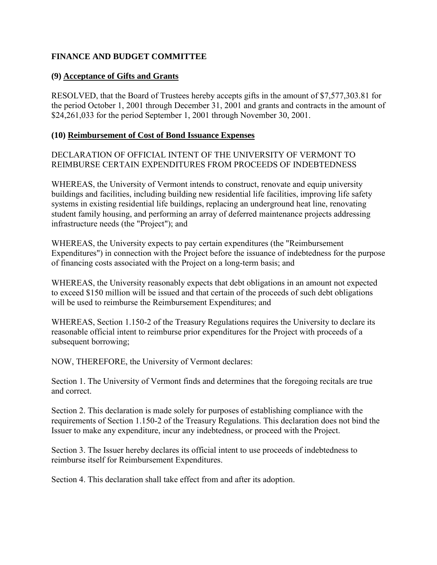## <span id="page-37-0"></span>**FINANCE AND BUDGET COMMITTEE**

## **(9) Acceptance of Gifts and Grants**

RESOLVED, that the Board of Trustees hereby accepts gifts in the amount of \$7,577,303.81 for the period October 1, 2001 through December 31, 2001 and grants and contracts in the amount of \$24,261,033 for the period September 1, 2001 through November 30, 2001.

### **(10) Reimbursement of Cost of Bond Issuance Expenses**

DECLARATION OF OFFICIAL INTENT OF THE UNIVERSITY OF VERMONT TO REIMBURSE CERTAIN EXPENDITURES FROM PROCEEDS OF INDEBTEDNESS

WHEREAS, the University of Vermont intends to construct, renovate and equip university buildings and facilities, including building new residential life facilities, improving life safety systems in existing residential life buildings, replacing an underground heat line, renovating student family housing, and performing an array of deferred maintenance projects addressing infrastructure needs (the "Project"); and

WHEREAS, the University expects to pay certain expenditures (the "Reimbursement Expenditures") in connection with the Project before the issuance of indebtedness for the purpose of financing costs associated with the Project on a long-term basis; and

WHEREAS, the University reasonably expects that debt obligations in an amount not expected to exceed \$150 million will be issued and that certain of the proceeds of such debt obligations will be used to reimburse the Reimbursement Expenditures; and

WHEREAS, Section 1.150-2 of the Treasury Regulations requires the University to declare its reasonable official intent to reimburse prior expenditures for the Project with proceeds of a subsequent borrowing;

NOW, THEREFORE, the University of Vermont declares:

Section 1. The University of Vermont finds and determines that the foregoing recitals are true and correct.

Section 2. This declaration is made solely for purposes of establishing compliance with the requirements of Section 1.150-2 of the Treasury Regulations. This declaration does not bind the Issuer to make any expenditure, incur any indebtedness, or proceed with the Project.

Section 3. The Issuer hereby declares its official intent to use proceeds of indebtedness to reimburse itself for Reimbursement Expenditures.

Section 4. This declaration shall take effect from and after its adoption.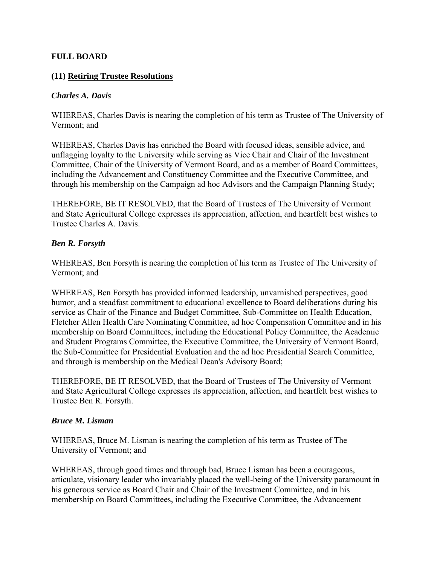### <span id="page-38-0"></span>**FULL BOARD**

#### **(11) Retiring Trustee Resolutions**

#### *Charles A. Davis*

WHEREAS, Charles Davis is nearing the completion of his term as Trustee of The University of Vermont; and

WHEREAS, Charles Davis has enriched the Board with focused ideas, sensible advice, and unflagging loyalty to the University while serving as Vice Chair and Chair of the Investment Committee, Chair of the University of Vermont Board, and as a member of Board Committees, including the Advancement and Constituency Committee and the Executive Committee, and through his membership on the Campaign ad hoc Advisors and the Campaign Planning Study;

THEREFORE, BE IT RESOLVED, that the Board of Trustees of The University of Vermont and State Agricultural College expresses its appreciation, affection, and heartfelt best wishes to Trustee Charles A. Davis.

#### *Ben R. Forsyth*

WHEREAS, Ben Forsyth is nearing the completion of his term as Trustee of The University of Vermont; and

WHEREAS, Ben Forsyth has provided informed leadership, unvarnished perspectives, good humor, and a steadfast commitment to educational excellence to Board deliberations during his service as Chair of the Finance and Budget Committee, Sub-Committee on Health Education, Fletcher Allen Health Care Nominating Committee, ad hoc Compensation Committee and in his membership on Board Committees, including the Educational Policy Committee, the Academic and Student Programs Committee, the Executive Committee, the University of Vermont Board, the Sub-Committee for Presidential Evaluation and the ad hoc Presidential Search Committee, and through is membership on the Medical Dean's Advisory Board;

THEREFORE, BE IT RESOLVED, that the Board of Trustees of The University of Vermont and State Agricultural College expresses its appreciation, affection, and heartfelt best wishes to Trustee Ben R. Forsyth.

#### *Bruce M. Lisman*

WHEREAS, Bruce M. Lisman is nearing the completion of his term as Trustee of The University of Vermont; and

WHEREAS, through good times and through bad, Bruce Lisman has been a courageous, articulate, visionary leader who invariably placed the well-being of the University paramount in his generous service as Board Chair and Chair of the Investment Committee, and in his membership on Board Committees, including the Executive Committee, the Advancement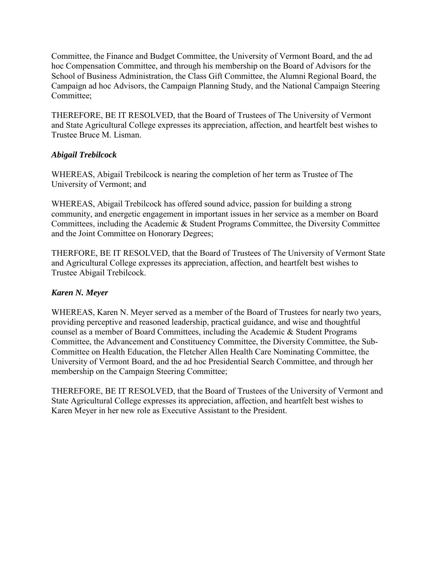Committee, the Finance and Budget Committee, the University of Vermont Board, and the ad hoc Compensation Committee, and through his membership on the Board of Advisors for the School of Business Administration, the Class Gift Committee, the Alumni Regional Board, the Campaign ad hoc Advisors, the Campaign Planning Study, and the National Campaign Steering Committee;

THEREFORE, BE IT RESOLVED, that the Board of Trustees of The University of Vermont and State Agricultural College expresses its appreciation, affection, and heartfelt best wishes to Trustee Bruce M. Lisman.

## *Abigail Trebilcock*

WHEREAS, Abigail Trebilcock is nearing the completion of her term as Trustee of The University of Vermont; and

WHEREAS, Abigail Trebilcock has offered sound advice, passion for building a strong community, and energetic engagement in important issues in her service as a member on Board Committees, including the Academic & Student Programs Committee, the Diversity Committee and the Joint Committee on Honorary Degrees;

THERFORE, BE IT RESOLVED, that the Board of Trustees of The University of Vermont State and Agricultural College expresses its appreciation, affection, and heartfelt best wishes to Trustee Abigail Trebilcock.

## *Karen N. Meyer*

WHEREAS, Karen N. Meyer served as a member of the Board of Trustees for nearly two years, providing perceptive and reasoned leadership, practical guidance, and wise and thoughtful counsel as a member of Board Committees, including the Academic & Student Programs Committee, the Advancement and Constituency Committee, the Diversity Committee, the Sub-Committee on Health Education, the Fletcher Allen Health Care Nominating Committee, the University of Vermont Board, and the ad hoc Presidential Search Committee, and through her membership on the Campaign Steering Committee;

THEREFORE, BE IT RESOLVED, that the Board of Trustees of the University of Vermont and State Agricultural College expresses its appreciation, affection, and heartfelt best wishes to Karen Meyer in her new role as Executive Assistant to the President.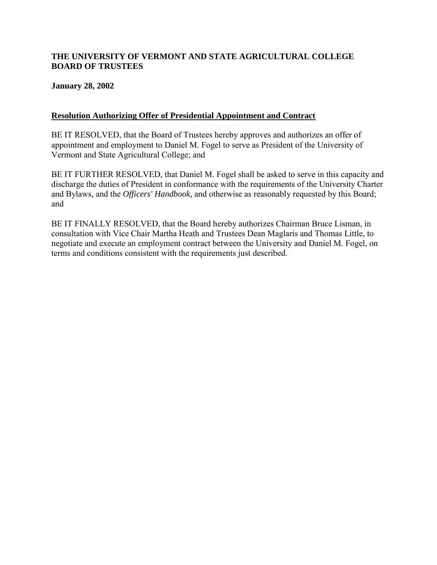## <span id="page-40-0"></span>**THE UNIVERSITY OF VERMONT AND STATE AGRICULTURAL COLLEGE BOARD OF TRUSTEES**

### **January 28, 2002**

### **Resolution Authorizing Offer of Presidential Appointment and Contract**

BE IT RESOLVED, that the Board of Trustees hereby approves and authorizes an offer of appointment and employment to Daniel M. Fogel to serve as President of the University of Vermont and State Agricultural College; and

BE IT FURTHER RESOLVED, that Daniel M. Fogel shall be asked to serve in this capacity and discharge the duties of President in conformance with the requirements of the University Charter and Bylaws, and the *Officers' Handbook,* and otherwise as reasonably requested by this Board; and

BE IT FINALLY RESOLVED, that the Board hereby authorizes Chairman Bruce Lisman, in consultation with Vice Chair Martha Heath and Trustees Dean Maglaris and Thomas Little, to negotiate and execute an employment contract between the University and Daniel M. Fogel, on terms and conditions consistent with the requirements just described.